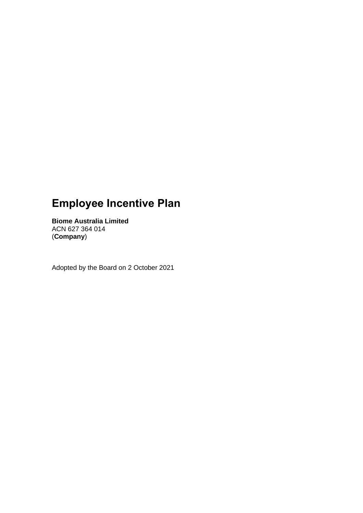# **Employee Incentive Plan**

**Biome Australia Limited** ACN 627 364 014 (**Company**)

Adopted by the Board on 2 October 2021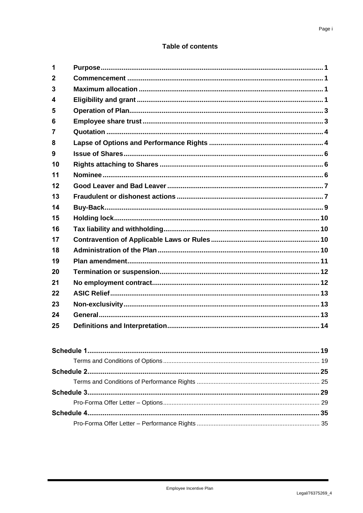# **Table of contents**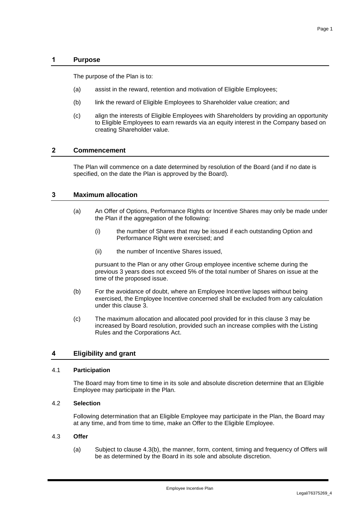## **1 Purpose**

The purpose of the Plan is to:

- (a) assist in the reward, retention and motivation of Eligible Employees;
- (b) link the reward of Eligible Employees to Shareholder value creation; and
- (c) align the interests of Eligible Employees with Shareholders by providing an opportunity to Eligible Employees to earn rewards via an equity interest in the Company based on creating Shareholder value.

## **2 Commencement**

The Plan will commence on a date determined by resolution of the Board (and if no date is specified, on the date the Plan is approved by the Board).

## <span id="page-2-0"></span>**3 Maximum allocation**

- (a) An Offer of Options, Performance Rights or Incentive Shares may only be made under the Plan if the aggregation of the following:
	- (i) the number of Shares that may be issued if each outstanding Option and Performance Right were exercised; and
	- (ii) the number of Incentive Shares issued,

pursuant to the Plan or any other Group employee incentive scheme during the previous 3 years does not exceed 5% of the total number of Shares on issue at the time of the proposed issue.

- (b) For the avoidance of doubt, where an Employee Incentive lapses without being exercised, the Employee Incentive concerned shall be excluded from any calculation under this clause [3.](#page-2-0)
- (c) The maximum allocation and allocated pool provided for in this clause [3](#page-2-0) may be increased by Board resolution, provided such an increase complies with the Listing Rules and the Corporations Act.

# **4 Eligibility and grant**

## 4.1 **Participation**

The Board may from time to time in its sole and absolute discretion determine that an Eligible Employee may participate in the Plan.

## 4.2 **Selection**

Following determination that an Eligible Employee may participate in the Plan, the Board may at any time, and from time to time, make an Offer to the Eligible Employee.

## 4.3 **Offer**

(a) Subject to clause [4.3\(b\),](#page-3-0) the manner, form, content, timing and frequency of Offers will be as determined by the Board in its sole and absolute discretion.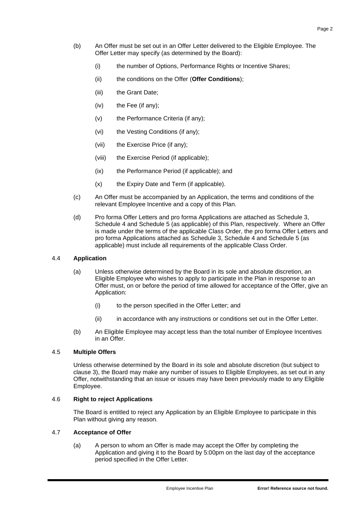- <span id="page-3-1"></span><span id="page-3-0"></span>(b) An Offer must be set out in an Offer Letter delivered to the Eligible Employee. The Offer Letter may specify (as determined by the Board):
	- (i) the number of Options, Performance Rights or Incentive Shares;
	- (ii) the conditions on the Offer (**Offer Conditions**);
	- (iii) the Grant Date;
	- $(iv)$  the Fee (if any);
	- (v) the Performance Criteria (if any);
	- (vi) the Vesting Conditions (if any);
	- (vii) the Exercise Price (if any);
	- (viii) the Exercise Period (if applicable);
	- (ix) the Performance Period (if applicable); and
	- (x) the Expiry Date and Term (if applicable).
- (c) An Offer must be accompanied by an Application, the terms and conditions of the relevant Employee Incentive and a copy of this Plan.
- (d) Pro forma Offer Letters and pro forma Applications are attached as [Schedule 3,](#page-30-0) [Schedule 4](#page-36-0) and [Schedule 5](#page-41-0) (as applicable) of this Plan, respectively. Where an Offer is made under the terms of the applicable Class Order, the pro forma Offer Letters and pro forma Applications attached as [Schedule 3,](#page-30-0) [Schedule 4](#page-36-0) and [Schedule 5](#page-41-0) (as applicable) must include all requirements of the applicable Class Order.

## 4.4 **Application**

- (a) Unless otherwise determined by the Board in its sole and absolute discretion, an Eligible Employee who wishes to apply to participate in the Plan in response to an Offer must, on or before the period of time allowed for acceptance of the Offer, give an Application:
	- (i) to the person specified in the Offer Letter; and
	- (ii) in accordance with any instructions or conditions set out in the Offer Letter.
- (b) An Eligible Employee may accept less than the total number of Employee Incentives in an Offer.

## 4.5 **Multiple Offers**

Unless otherwise determined by the Board in its sole and absolute discretion (but subject to clause [3\)](#page-2-0), the Board may make any number of issues to Eligible Employees, as set out in any Offer, notwithstanding that an issue or issues may have been previously made to any Eligible Employee.

## 4.6 **Right to reject Applications**

The Board is entitled to reject any Application by an Eligible Employee to participate in this Plan without giving any reason.

## 4.7 **Acceptance of Offer**

(a) A person to whom an Offer is made may accept the Offer by completing the Application and giving it to the Board by 5:00pm on the last day of the acceptance period specified in the Offer Letter.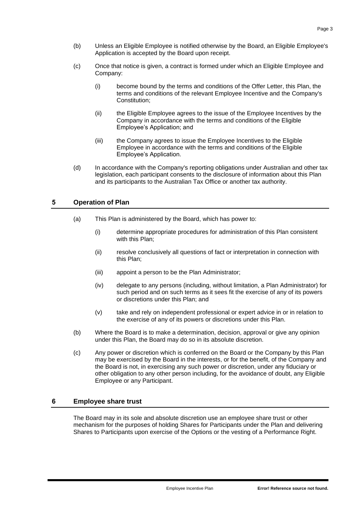- (b) Unless an Eligible Employee is notified otherwise by the Board, an Eligible Employee's Application is accepted by the Board upon receipt.
- (c) Once that notice is given, a contract is formed under which an Eligible Employee and Company:
	- (i) become bound by the terms and conditions of the Offer Letter, this Plan, the terms and conditions of the relevant Employee Incentive and the Company's Constitution;
	- (ii) the Eligible Employee agrees to the issue of the Employee Incentives by the Company in accordance with the terms and conditions of the Eligible Employee's Application; and
	- (iii) the Company agrees to issue the Employee Incentives to the Eligible Employee in accordance with the terms and conditions of the Eligible Employee's Application.
- (d) In accordance with the Company's reporting obligations under Australian and other tax legislation, each participant consents to the disclosure of information about this Plan and its participants to the Australian Tax Office or another tax authority.

## **5 Operation of Plan**

- (a) This Plan is administered by the Board, which has power to:
	- (i) determine appropriate procedures for administration of this Plan consistent with this Plan;
	- (ii) resolve conclusively all questions of fact or interpretation in connection with this Plan;
	- (iii) appoint a person to be the Plan Administrator;
	- (iv) delegate to any persons (including, without limitation, a Plan Administrator) for such period and on such terms as it sees fit the exercise of any of its powers or discretions under this Plan; and
	- (v) take and rely on independent professional or expert advice in or in relation to the exercise of any of its powers or discretions under this Plan.
- (b) Where the Board is to make a determination, decision, approval or give any opinion under this Plan, the Board may do so in its absolute discretion.
- (c) Any power or discretion which is conferred on the Board or the Company by this Plan may be exercised by the Board in the interests, or for the benefit, of the Company and the Board is not, in exercising any such power or discretion, under any fiduciary or other obligation to any other person including, for the avoidance of doubt, any Eligible Employee or any Participant.

## **6 Employee share trust**

The Board may in its sole and absolute discretion use an employee share trust or other mechanism for the purposes of holding Shares for Participants under the Plan and delivering Shares to Participants upon exercise of the Options or the vesting of a Performance Right.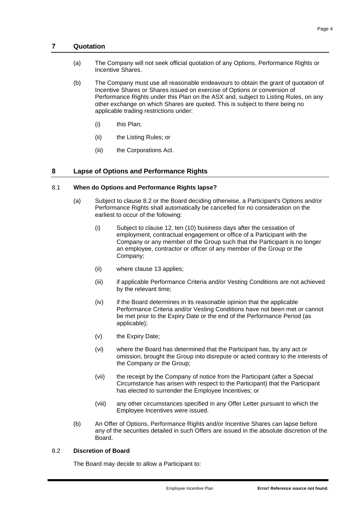## **7 Quotation**

- (a) The Company will not seek official quotation of any Options, Performance Rights or Incentive Shares.
- (b) The Company must use all reasonable endeavours to obtain the grant of quotation of Incentive Shares or Shares issued on exercise of Options or conversion of Performance Rights under this Plan on the ASX and, subject to Listing Rules, on any other exchange on which Shares are quoted. This is subject to there being no applicable trading restrictions under:
	- (i) this Plan;
	- (ii) the Listing Rules; or
	- (iii) the Corporations Act.

## <span id="page-5-1"></span>**8 Lapse of Options and Performance Rights**

## 8.1 **When do Options and Performance Rights lapse?**

- (a) Subject to clause [8.2](#page-5-0) or the Board deciding otherwise, a Participant's Options and/or Performance Rights shall automatically be cancelled for no consideration on the earliest to occur of the following:
	- (i) Subject to clause [12,](#page-8-0) ten (10) business days after the cessation of employment, contractual engagement or office of a Participant with the Company or any member of the Group such that the Participant is no longer an employee, contractor or officer of any member of the Group or the Company;
	- (ii) where clause [13](#page-8-1) applies;
	- (iii) if applicable Performance Criteria and/or Vesting Conditions are not achieved by the relevant time;
	- (iv) if the Board determines in its reasonable opinion that the applicable Performance Criteria and/or Vesting Conditions have not been met or cannot be met prior to the Expiry Date or the end of the Performance Period (as applicable);
	- (v) the Expiry Date;
	- (vi) where the Board has determined that the Participant has, by any act or omission, brought the Group into disrepute or acted contrary to the interests of the Company or the Group;
	- (vii) the receipt by the Company of notice from the Participant (after a Special Circumstance has arisen with respect to the Participant) that the Participant has elected to surrender the Employee Incentives; or
	- (viii) any other circumstances specified in any Offer Letter pursuant to which the Employee Incentives were issued.
- (b) An Offer of Options, Performance Rights and/or Incentive Shares can lapse before any of the securities detailed in such Offers are issued in the absolute discretion of the Board.

## <span id="page-5-0"></span>8.2 **Discretion of Board**

The Board may decide to allow a Participant to: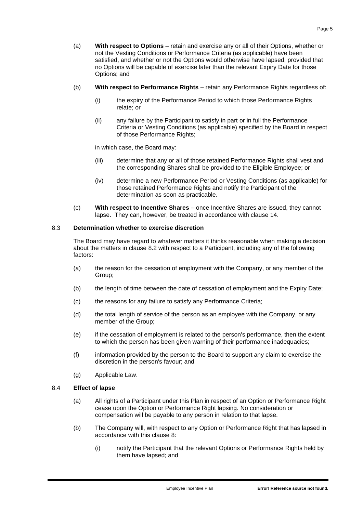- (a) **With respect to Options** retain and exercise any or all of their Options, whether or not the Vesting Conditions or Performance Criteria (as applicable) have been satisfied, and whether or not the Options would otherwise have lapsed, provided that no Options will be capable of exercise later than the relevant Expiry Date for those Options; and
- (b) **With respect to Performance Rights** retain any Performance Rights regardless of:
	- (i) the expiry of the Performance Period to which those Performance Rights relate; or
	- (ii) any failure by the Participant to satisfy in part or in full the Performance Criteria or Vesting Conditions (as applicable) specified by the Board in respect of those Performance Rights;

in which case, the Board may:

- (iii) determine that any or all of those retained Performance Rights shall vest and the corresponding Shares shall be provided to the Eligible Employee; or
- (iv) determine a new Performance Period or Vesting Conditions (as applicable) for those retained Performance Rights and notify the Participant of the determination as soon as practicable.
- (c) **With respect to Incentive Shares** once Incentive Shares are issued, they cannot lapse. They can, however, be treated in accordance with clause [14.](#page-10-0)

## 8.3 **Determination whether to exercise discretion**

The Board may have regard to whatever matters it thinks reasonable when making a decision about the matters in clause [8.2](#page-5-0) with respect to a Participant, including any of the following factors:

- (a) the reason for the cessation of employment with the Company, or any member of the Group;
- (b) the length of time between the date of cessation of employment and the Expiry Date;
- (c) the reasons for any failure to satisfy any Performance Criteria;
- (d) the total length of service of the person as an employee with the Company, or any member of the Group;
- (e) if the cessation of employment is related to the person's performance, then the extent to which the person has been given warning of their performance inadequacies;
- (f) information provided by the person to the Board to support any claim to exercise the discretion in the person's favour; and
- (g) Applicable Law.

## 8.4 **Effect of lapse**

- (a) All rights of a Participant under this Plan in respect of an Option or Performance Right cease upon the Option or Performance Right lapsing. No consideration or compensation will be payable to any person in relation to that lapse.
- (b) The Company will, with respect to any Option or Performance Right that has lapsed in accordance with this clause [8:](#page-5-1)
	- (i) notify the Participant that the relevant Options or Performance Rights held by them have lapsed; and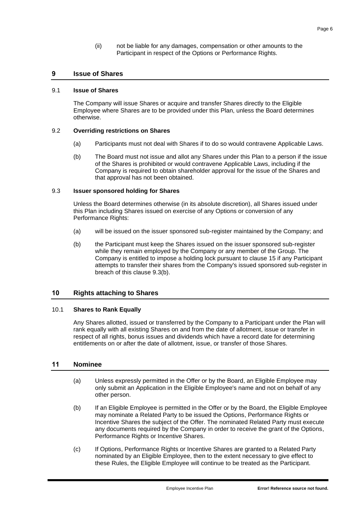(ii) not be liable for any damages, compensation or other amounts to the Participant in respect of the Options or Performance Rights.

## **9 Issue of Shares**

#### 9.1 **Issue of Shares**

The Company will issue Shares or acquire and transfer Shares directly to the Eligible Employee where Shares are to be provided under this Plan, unless the Board determines otherwise.

#### 9.2 **Overriding restrictions on Shares**

- (a) Participants must not deal with Shares if to do so would contravene Applicable Laws.
- (b) The Board must not issue and allot any Shares under this Plan to a person if the issue of the Shares is prohibited or would contravene Applicable Laws, including if the Company is required to obtain shareholder approval for the issue of the Shares and that approval has not been obtained.

#### 9.3 **Issuer sponsored holding for Shares**

Unless the Board determines otherwise (in its absolute discretion), all Shares issued under this Plan including Shares issued on exercise of any Options or conversion of any Performance Rights:

- (a) will be issued on the issuer sponsored sub-register maintained by the Company; and
- <span id="page-7-0"></span>(b) the Participant must keep the Shares issued on the issuer sponsored sub-register while they remain employed by the Company or any member of the Group. The Company is entitled to impose a holding lock pursuant to clause [15](#page-11-0) if any Participant attempts to transfer their shares from the Company's issued sponsored sub-register in breach of this clause [9.3\(b\).](#page-7-0)

#### **10 Rights attaching to Shares**

#### 10.1 **Shares to Rank Equally**

Any Shares allotted, issued or transferred by the Company to a Participant under the Plan will rank equally with all existing Shares on and from the date of allotment, issue or transfer in respect of all rights, bonus issues and dividends which have a record date for determining entitlements on or after the date of allotment, issue, or transfer of those Shares.

## <span id="page-7-1"></span>**11 Nominee**

- (a) Unless expressly permitted in the Offer or by the Board, an Eligible Employee may only submit an Application in the Eligible Employee's name and not on behalf of any other person.
- (b) If an Eligible Employee is permitted in the Offer or by the Board, the Eligible Employee may nominate a Related Party to be issued the Options, Performance Rights or Incentive Shares the subject of the Offer. The nominated Related Party must execute any documents required by the Company in order to receive the grant of the Options, Performance Rights or Incentive Shares.
- (c) If Options, Performance Rights or Incentive Shares are granted to a Related Party nominated by an Eligible Employee, then to the extent necessary to give effect to these Rules, the Eligible Employee will continue to be treated as the Participant.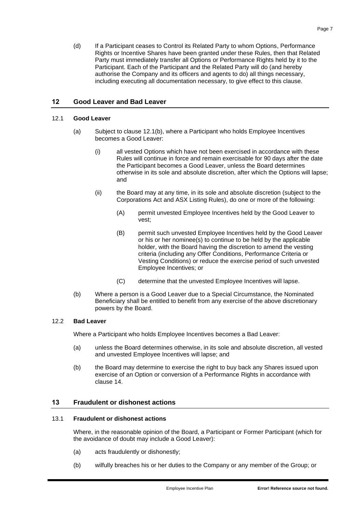(d) If a Participant ceases to Control its Related Party to whom Options, Performance Rights or Incentive Shares have been granted under these Rules, then that Related Party must immediately transfer all Options or Performance Rights held by it to the Participant. Each of the Participant and the Related Party will do (and hereby authorise the Company and its officers and agents to do) all things necessary, including executing all documentation necessary, to give effect to this clause.

# <span id="page-8-0"></span>**12 Good Leaver and Bad Leaver**

## 12.1 **Good Leaver**

- (a) Subject to clause [12.1\(b\),](#page-8-2) where a Participant who holds Employee Incentives becomes a Good Leaver:
	- (i) all vested Options which have not been exercised in accordance with these Rules will continue in force and remain exercisable for 90 days after the date the Participant becomes a Good Leaver, unless the Board determines otherwise in its sole and absolute discretion, after which the Options will lapse; and
	- (ii) the Board may at any time, in its sole and absolute discretion (subject to the Corporations Act and ASX Listing Rules), do one or more of the following:
		- (A) permit unvested Employee Incentives held by the Good Leaver to vest;
		- (B) permit such unvested Employee Incentives held by the Good Leaver or his or her nominee(s) to continue to be held by the applicable holder, with the Board having the discretion to amend the vesting criteria (including any Offer Conditions, Performance Criteria or Vesting Conditions) or reduce the exercise period of such unvested Employee Incentives; or
		- (C) determine that the unvested Employee Incentives will lapse.
- <span id="page-8-2"></span>(b) Where a person is a Good Leaver due to a Special Circumstance, the Nominated Beneficiary shall be entitled to benefit from any exercise of the above discretionary powers by the Board.

## <span id="page-8-4"></span>12.2 **Bad Leaver**

Where a Participant who holds Employee Incentives becomes a Bad Leaver:

- (a) unless the Board determines otherwise, in its sole and absolute discretion, all vested and unvested Employee Incentives will lapse; and
- (b) the Board may determine to exercise the right to buy back any Shares issued upon exercise of an Option or conversion of a Performance Rights in accordance with clause [14.](#page-10-0)

# <span id="page-8-1"></span>**13 Fraudulent or dishonest actions**

## <span id="page-8-3"></span>13.1 **Fraudulent or dishonest actions**

Where, in the reasonable opinion of the Board, a Participant or Former Participant (which for the avoidance of doubt may include a Good Leaver):

- (a) acts fraudulently or dishonestly;
- (b) wilfully breaches his or her duties to the Company or any member of the Group; or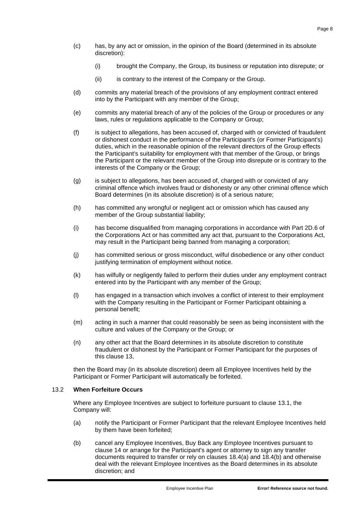- (c) has, by any act or omission, in the opinion of the Board (determined in its absolute discretion):
	- (i) brought the Company, the Group, its business or reputation into disrepute; or
	- (ii) is contrary to the interest of the Company or the Group.
- (d) commits any material breach of the provisions of any employment contract entered into by the Participant with any member of the Group;
- (e) commits any material breach of any of the policies of the Group or procedures or any laws, rules or regulations applicable to the Company or Group;
- (f) is subject to allegations, has been accused of, charged with or convicted of fraudulent or dishonest conduct in the performance of the Participant's (or Former Participant's) duties, which in the reasonable opinion of the relevant directors of the Group effects the Participant's suitability for employment with that member of the Group, or brings the Participant or the relevant member of the Group into disrepute or is contrary to the interests of the Company or the Group;
- (g) is subject to allegations, has been accused of, charged with or convicted of any criminal offence which involves fraud or dishonesty or any other criminal offence which Board determines (in its absolute discretion) is of a serious nature;
- (h) has committed any wrongful or negligent act or omission which has caused any member of the Group substantial liability;
- (i) has become disqualified from managing corporations in accordance with Part 2D.6 of the Corporations Act or has committed any act that, pursuant to the Corporations Act, may result in the Participant being banned from managing a corporation;
- (j) has committed serious or gross misconduct, wilful disobedience or any other conduct justifying termination of employment without notice.
- (k) has wilfully or negligently failed to perform their duties under any employment contract entered into by the Participant with any member of the Group;
- (l) has engaged in a transaction which involves a conflict of interest to their employment with the Company resulting in the Participant or Former Participant obtaining a personal benefit;
- (m) acting in such a manner that could reasonably be seen as being inconsistent with the culture and values of the Company or the Group; or
- (n) any other act that the Board determines in its absolute discretion to constitute fraudulent or dishonest by the Participant or Former Participant for the purposes of this clause [13,](#page-8-1)

then the Board may (in its absolute discretion) deem all Employee Incentives held by the Participant or Former Participant will automatically be forfeited.

#### 13.2 **When Forfeiture Occurs**

Where any Employee Incentives are subject to forfeiture pursuant to clause [13.1,](#page-8-3) the Company will:

- (a) notify the Participant or Former Participant that the relevant Employee Incentives held by them have been forfeited;
- (b) cancel any Employee Incentives, Buy Back any Employee Incentives pursuant to clause [14](#page-10-0) or arrange for the Participant's agent or attorney to sign any transfer documents required to transfer or rely on clauses [18.4\(a\)](#page-12-0) and [18.4\(b\)](#page-12-1) and otherwise deal with the relevant Employee Incentives as the Board determines in its absolute discretion; and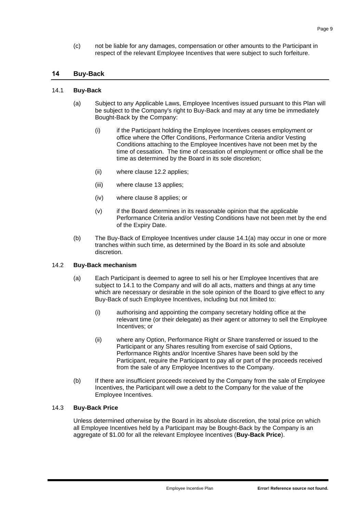(c) not be liable for any damages, compensation or other amounts to the Participant in respect of the relevant Employee Incentives that were subject to such forfeiture.

## <span id="page-10-0"></span>**14 Buy-Back**

#### <span id="page-10-2"></span><span id="page-10-1"></span>14.1 **Buy-Back**

- (a) Subject to any Applicable Laws, Employee Incentives issued pursuant to this Plan will be subject to the Company's right to Buy-Back and may at any time be immediately Bought-Back by the Company:
	- (i) if the Participant holding the Employee Incentives ceases employment or office where the Offer Conditions, Performance Criteria and/or Vesting Conditions attaching to the Employee Incentives have not been met by the time of cessation. The time of cessation of employment or office shall be the time as determined by the Board in its sole discretion;
	- (ii) where clause [12.2](#page-8-4) applies;
	- (iii) where clause [13](#page-8-1) applies;
	- (iv) where clause [8](#page-5-1) applies; or
	- (v) if the Board determines in its reasonable opinion that the applicable Performance Criteria and/or Vesting Conditions have not been met by the end of the Expiry Date.
- (b) The Buy-Back of Employee Incentives under clause [14.1\(a\)](#page-10-1) may occur in one or more tranches within such time, as determined by the Board in its sole and absolute discretion.

#### 14.2 **Buy-Back mechanism**

- (a) Each Participant is deemed to agree to sell his or her Employee Incentives that are subject to [14.1](#page-10-2) to the Company and will do all acts, matters and things at any time which are necessary or desirable in the sole opinion of the Board to give effect to any Buy-Back of such Employee Incentives, including but not limited to:
	- (i) authorising and appointing the company secretary holding office at the relevant time (or their delegate) as their agent or attorney to sell the Employee Incentives; or
	- (ii) where any Option, Performance Right or Share transferred or issued to the Participant or any Shares resulting from exercise of said Options, Performance Rights and/or Incentive Shares have been sold by the Participant, require the Participant to pay all or part of the proceeds received from the sale of any Employee Incentives to the Company.
- (b) If there are insufficient proceeds received by the Company from the sale of Employee Incentives, the Participant will owe a debt to the Company for the value of the Employee Incentives.

## 14.3 **Buy-Back Price**

Unless determined otherwise by the Board in its absolute discretion, the total price on which all Employee Incentives held by a Participant may be Bought-Back by the Company is an aggregate of \$1.00 for all the relevant Employee Incentives (**Buy-Back Price**).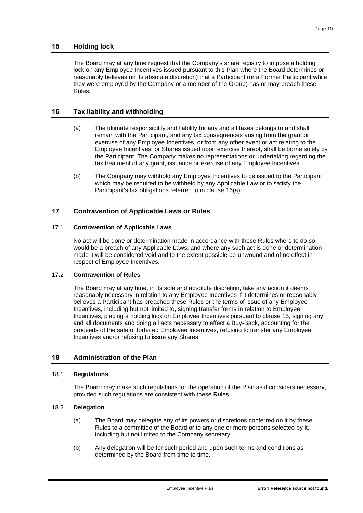## <span id="page-11-0"></span>**15 Holding lock**

The Board may at any time request that the Company's share registry to impose a holding lock on any Employee Incentives issued pursuant to this Plan where the Board determines or reasonably believes (in its absolute discretion) that a Participant (or a Former Participant while they were employed by the Company or a member of the Group) has or may breach these Rules.

## <span id="page-11-1"></span>**16 Tax liability and withholding**

- (a) The ultimate responsibility and liability for any and all taxes belongs to and shall remain with the Participant, and any tax consequences arising from the grant or exercise of any Employee Incentives, or from any other event or act relating to the Employee Incentives, or Shares issued upon exercise thereof, shall be borne solely by the Participant. The Company makes no representations or undertaking regarding the tax treatment of any grant, issuance or exercise of any Employee Incentives.
- (b) The Company may withhold any Employee Incentives to be issued to the Participant which may be required to be withheld by any Applicable Law or to satisfy the Participant's tax obligations referred to in clause [16\(a\).](#page-11-1)

## **17 Contravention of Applicable Laws or Rules**

#### 17.1 **Contravention of Applicable Laws**

No act will be done or determination made in accordance with these Rules where to do so would be a breach of any Applicable Laws, and where any such act is done or determination made it will be considered void and to the extent possible be unwound and of no effect in respect of Employee Incentives.

#### 17.2 **Contravention of Rules**

The Board may at any time, in its sole and absolute discretion, take any action it deems reasonably necessary in relation to any Employee Incentives if it determines or reasonably believes a Participant has breached these Rules or the terms of issue of any Employee Incentives, including but not limited to, signing transfer forms in relation to Employee Incentives, placing a holding lock on Employee Incentives pursuant to clause [15,](#page-11-0) signing any and all documents and doing all acts necessary to effect a Buy-Back, accounting for the proceeds of the sale of forfeited Employee Incentives, refusing to transfer any Employee Incentives and/or refusing to issue any Shares.

## **18 Administration of the Plan**

#### 18.1 **Regulations**

The Board may make such regulations for the operation of the Plan as it considers necessary, provided such regulations are consistent with these Rules.

## 18.2 **Delegation**

- (a) The Board may delegate any of its powers or discretions conferred on it by these Rules to a committee of the Board or to any one or more persons selected by it, including but not limited to the Company secretary.
- (b) Any delegation will be for such period and upon such terms and conditions as determined by the Board from time to time.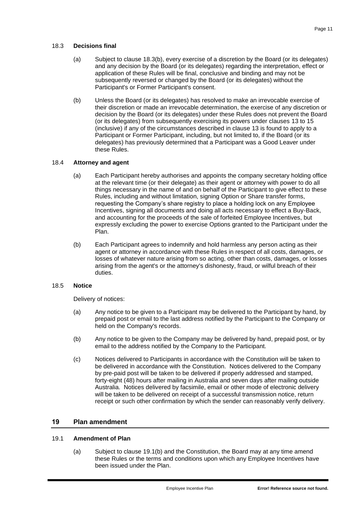#### 18.3 **Decisions final**

- (a) Subject to clause [18.3\(b\),](#page-12-2) every exercise of a discretion by the Board (or its delegates) and any decision by the Board (or its delegates) regarding the interpretation, effect or application of these Rules will be final, conclusive and binding and may not be subsequently reversed or changed by the Board (or its delegates) without the Participant's or Former Participant's consent.
- <span id="page-12-2"></span>(b) Unless the Board (or its delegates) has resolved to make an irrevocable exercise of their discretion or made an irrevocable determination, the exercise of any discretion or decision by the Board (or its delegates) under these Rules does not prevent the Board (or its delegates) from subsequently exercising its powers under clauses [13](#page-8-1) to [15](#page-11-0) (inclusive) if any of the circumstances described in clause [13](#page-8-1) is found to apply to a Participant or Former Participant, including, but not limited to, if the Board (or its delegates) has previously determined that a Participant was a Good Leaver under these Rules.

## <span id="page-12-0"></span>18.4 **Attorney and agent**

- (a) Each Participant hereby authorises and appoints the company secretary holding office at the relevant time (or their delegate) as their agent or attorney with power to do all things necessary in the name of and on behalf of the Participant to give effect to these Rules, including and without limitation, signing Option or Share transfer forms, requesting the Company's share registry to place a holding lock on any Employee Incentives, signing all documents and doing all acts necessary to effect a Buy-Back, and accounting for the proceeds of the sale of forfeited Employee Incentives, but expressly excluding the power to exercise Options granted to the Participant under the Plan.
- <span id="page-12-1"></span>(b) Each Participant agrees to indemnify and hold harmless any person acting as their agent or attorney in accordance with these Rules in respect of all costs, damages, or losses of whatever nature arising from so acting, other than costs, damages, or losses arising from the agent's or the attorney's dishonesty, fraud, or wilful breach of their duties.

#### 18.5 **Notice**

Delivery of notices:

- (a) Any notice to be given to a Participant may be delivered to the Participant by hand, by prepaid post or email to the last address notified by the Participant to the Company or held on the Company's records.
- (b) Any notice to be given to the Company may be delivered by hand, prepaid post, or by email to the address notified by the Company to the Participant.
- (c) Notices delivered to Participants in accordance with the Constitution will be taken to be delivered in accordance with the Constitution. Notices delivered to the Company by pre-paid post will be taken to be delivered if properly addressed and stamped, forty-eight (48) hours after mailing in Australia and seven days after mailing outside Australia. Notices delivered by facsimile, email or other mode of electronic delivery will be taken to be delivered on receipt of a successful transmission notice, return receipt or such other confirmation by which the sender can reasonably verify delivery.

#### **19 Plan amendment**

#### 19.1 **Amendment of Plan**

(a) Subject to clause [19.1\(b\)](#page-13-0) and the Constitution, the Board may at any time amend these Rules or the terms and conditions upon which any Employee Incentives have been issued under the Plan.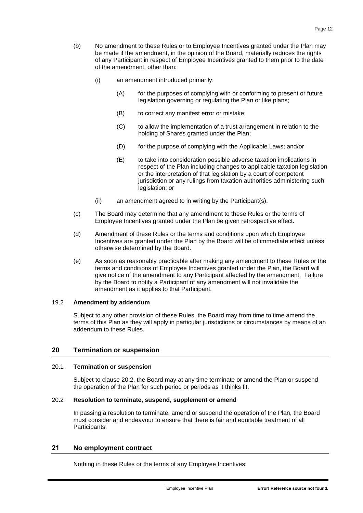- <span id="page-13-0"></span>(b) No amendment to these Rules or to Employee Incentives granted under the Plan may be made if the amendment, in the opinion of the Board, materially reduces the rights of any Participant in respect of Employee Incentives granted to them prior to the date of the amendment, other than:
	- (i) an amendment introduced primarily:
		- (A) for the purposes of complying with or conforming to present or future legislation governing or regulating the Plan or like plans;
		- (B) to correct any manifest error or mistake;
		- (C) to allow the implementation of a trust arrangement in relation to the holding of Shares granted under the Plan;
		- (D) for the purpose of complying with the Applicable Laws; and/or
		- (E) to take into consideration possible adverse taxation implications in respect of the Plan including changes to applicable taxation legislation or the interpretation of that legislation by a court of competent jurisdiction or any rulings from taxation authorities administering such legislation; or
	- (ii) an amendment agreed to in writing by the Participant(s).
- (c) The Board may determine that any amendment to these Rules or the terms of Employee Incentives granted under the Plan be given retrospective effect.
- (d) Amendment of these Rules or the terms and conditions upon which Employee Incentives are granted under the Plan by the Board will be of immediate effect unless otherwise determined by the Board.
- (e) As soon as reasonably practicable after making any amendment to these Rules or the terms and conditions of Employee Incentives granted under the Plan, the Board will give notice of the amendment to any Participant affected by the amendment. Failure by the Board to notify a Participant of any amendment will not invalidate the amendment as it applies to that Participant.

#### 19.2 **Amendment by addendum**

Subject to any other provision of these Rules, the Board may from time to time amend the terms of this Plan as they will apply in particular jurisdictions or circumstances by means of an addendum to these Rules.

## **20 Termination or suspension**

#### 20.1 **Termination or suspension**

Subject to clause [20.2,](#page-13-1) the Board may at any time terminate or amend the Plan or suspend the operation of the Plan for such period or periods as it thinks fit.

## <span id="page-13-1"></span>20.2 **Resolution to terminate, suspend, supplement or amend**

In passing a resolution to terminate, amend or suspend the operation of the Plan, the Board must consider and endeavour to ensure that there is fair and equitable treatment of all Participants.

## **21 No employment contract**

Nothing in these Rules or the terms of any Employee Incentives: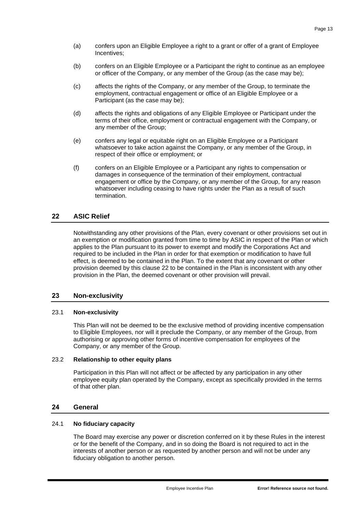- (a) confers upon an Eligible Employee a right to a grant or offer of a grant of Employee Incentives;
- (b) confers on an Eligible Employee or a Participant the right to continue as an employee or officer of the Company, or any member of the Group (as the case may be);
- (c) affects the rights of the Company, or any member of the Group, to terminate the employment, contractual engagement or office of an Eligible Employee or a Participant (as the case may be);
- (d) affects the rights and obligations of any Eligible Employee or Participant under the terms of their office, employment or contractual engagement with the Company, or any member of the Group;
- (e) confers any legal or equitable right on an Eligible Employee or a Participant whatsoever to take action against the Company, or any member of the Group, in respect of their office or employment; or
- (f) confers on an Eligible Employee or a Participant any rights to compensation or damages in consequence of the termination of their employment, contractual engagement or office by the Company, or any member of the Group, for any reason whatsoever including ceasing to have rights under the Plan as a result of such termination.

# <span id="page-14-0"></span>**22 ASIC Relief**

Notwithstanding any other provisions of the Plan, every covenant or other provisions set out in an exemption or modification granted from time to time by ASIC in respect of the Plan or which applies to the Plan pursuant to its power to exempt and modify the Corporations Act and required to be included in the Plan in order for that exemption or modification to have full effect, is deemed to be contained in the Plan. To the extent that any covenant or other provision deemed by this clause [22](#page-14-0) to be contained in the Plan is inconsistent with any other provision in the Plan, the deemed covenant or other provision will prevail.

## **23 Non-exclusivity**

## 23.1 **Non-exclusivity**

This Plan will not be deemed to be the exclusive method of providing incentive compensation to Eligible Employees, nor will it preclude the Company, or any member of the Group, from authorising or approving other forms of incentive compensation for employees of the Company, or any member of the Group.

## 23.2 **Relationship to other equity plans**

Participation in this Plan will not affect or be affected by any participation in any other employee equity plan operated by the Company, except as specifically provided in the terms of that other plan.

## **24 General**

## 24.1 **No fiduciary capacity**

The Board may exercise any power or discretion conferred on it by these Rules in the interest or for the benefit of the Company, and in so doing the Board is not required to act in the interests of another person or as requested by another person and will not be under any fiduciary obligation to another person.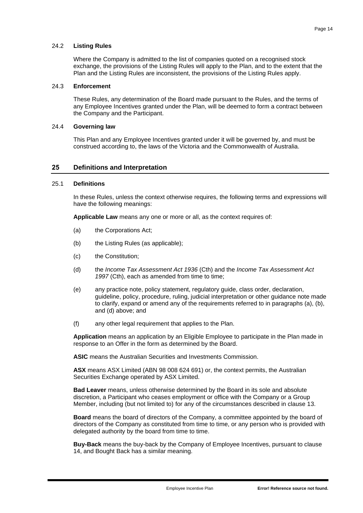#### 24.2 **Listing Rules**

Where the Company is admitted to the list of companies quoted on a recognised stock exchange, the provisions of the Listing Rules will apply to the Plan, and to the extent that the Plan and the Listing Rules are inconsistent, the provisions of the Listing Rules apply.

## 24.3 **Enforcement**

These Rules, any determination of the Board made pursuant to the Rules, and the terms of any Employee Incentives granted under the Plan, will be deemed to form a contract between the Company and the Participant.

#### 24.4 **Governing law**

This Plan and any Employee Incentives granted under it will be governed by, and must be construed according to, the laws of the Victoria and the Commonwealth of Australia.

## **25 Definitions and Interpretation**

## 25.1 **Definitions**

In these Rules, unless the context otherwise requires, the following terms and expressions will have the following meanings:

**Applicable Law** means any one or more or all, as the context requires of:

- (a) the Corporations Act;
- (b) the Listing Rules (as applicable);
- (c) the Constitution;
- (d) the *Income Tax Assessment Act 1936* (Cth) and the *Income Tax Assessment Act*  1997 (Cth), each as amended from time to time;
- (e) any practice note, policy statement, regulatory guide, class order, declaration, guideline, policy, procedure, ruling, judicial interpretation or other guidance note made to clarify, expand or amend any of the requirements referred to in paragraphs (a), (b), and (d) above; and
- (f) any other legal requirement that applies to the Plan.

**Application** means an application by an Eligible Employee to participate in the Plan made in response to an Offer in the form as determined by the Board.

**ASIC** means the Australian Securities and Investments Commission.

**ASX** means ASX Limited (ABN 98 008 624 691) or, the context permits, the Australian Securities Exchange operated by ASX Limited.

**Bad Leaver** means, unless otherwise determined by the Board in its sole and absolute discretion, a Participant who ceases employment or office with the Company or a Group Member, including (but not limited to) for any of the circumstances described in clause [13.](#page-8-1)

**Board** means the board of directors of the Company, a committee appointed by the board of directors of the Company as constituted from time to time, or any person who is provided with delegated authority by the board from time to time.

**Buy-Back** means the buy-back by the Company of Employee Incentives, pursuant to clause [14,](#page-10-0) and Bought Back has a similar meaning.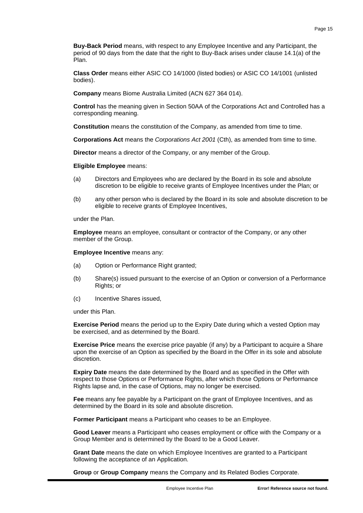**Buy-Back Period** means, with respect to any Employee Incentive and any Participant, the period of 90 days from the date that the right to Buy-Back arises under clause [14.1\(a\)](#page-10-1) of the Plan.

**Class Order** means either ASIC CO 14/1000 (listed bodies) or ASIC CO 14/1001 (unlisted bodies).

**Company** means Biome Australia Limited (ACN 627 364 014).

**Control** has the meaning given in Section 50AA of the Corporations Act and Controlled has a corresponding meaning.

**Constitution** means the constitution of the Company, as amended from time to time.

**Corporations Act** means the *Corporations Act 2001* (Cth), as amended from time to time.

**Director** means a director of the Company, or any member of the Group.

**Eligible Employee** means:

- (a) Directors and Employees who are declared by the Board in its sole and absolute discretion to be eligible to receive grants of Employee Incentives under the Plan; or
- (b) any other person who is declared by the Board in its sole and absolute discretion to be eligible to receive grants of Employee Incentives,

under the Plan.

**Employee** means an employee, consultant or contractor of the Company, or any other member of the Group.

**Employee Incentive** means any:

- (a) Option or Performance Right granted;
- (b) Share(s) issued pursuant to the exercise of an Option or conversion of a Performance Rights; or
- (c) Incentive Shares issued,

under this Plan.

**Exercise Period** means the period up to the Expiry Date during which a vested Option may be exercised, and as determined by the Board.

**Exercise Price** means the exercise price payable (if any) by a Participant to acquire a Share upon the exercise of an Option as specified by the Board in the Offer in its sole and absolute discretion.

**Expiry Date** means the date determined by the Board and as specified in the Offer with respect to those Options or Performance Rights, after which those Options or Performance Rights lapse and, in the case of Options, may no longer be exercised.

**Fee** means any fee payable by a Participant on the grant of Employee Incentives, and as determined by the Board in its sole and absolute discretion.

**Former Participant** means a Participant who ceases to be an Employee.

**Good Leaver** means a Participant who ceases employment or office with the Company or a Group Member and is determined by the Board to be a Good Leaver.

**Grant Date** means the date on which Employee Incentives are granted to a Participant following the acceptance of an Application.

**Group** or **Group Company** means the Company and its Related Bodies Corporate.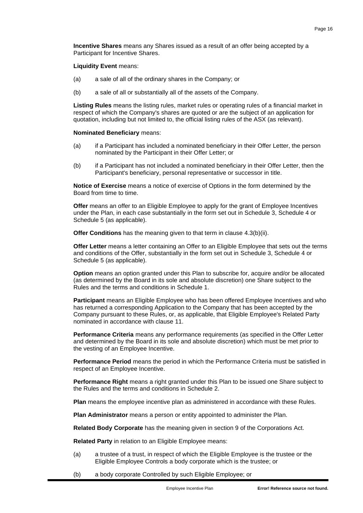**Incentive Shares** means any Shares issued as a result of an offer being accepted by a Participant for Incentive Shares.

**Liquidity Event** means:

- (a) a sale of all of the ordinary shares in the Company; or
- (b) a sale of all or substantially all of the assets of the Company.

**Listing Rules** means the listing rules, market rules or operating rules of a financial market in respect of which the Company's shares are quoted or are the subject of an application for quotation, including but not limited to, the official listing rules of the ASX (as relevant).

#### **Nominated Beneficiary** means:

- (a) if a Participant has included a nominated beneficiary in their Offer Letter, the person nominated by the Participant in their Offer Letter; or
- (b) if a Participant has not included a nominated beneficiary in their Offer Letter, then the Participant's beneficiary, personal representative or successor in title.

**Notice of Exercise** means a notice of exercise of Options in the form determined by the Board from time to time.

**Offer** means an offer to an Eligible Employee to apply for the grant of Employee Incentives under the Plan, in each case substantially in the form set out in [Schedule 3,](#page-30-0) [Schedule 4](#page-36-0) or [Schedule 5](#page-41-0) (as applicable).

**Offer Conditions** has the meaning given to that term in clause [4.3\(b\)\(ii\).](#page-3-1)

**Offer Letter** means a letter containing an Offer to an Eligible Employee that sets out the terms and conditions of the Offer, substantially in the form set out in [Schedule 3,](#page-30-0) [Schedule 4](#page-36-0) or [Schedule 5](#page-41-0) (as applicable).

**Option** means an option granted under this Plan to subscribe for, acquire and/or be allocated (as determined by the Board in its sole and absolute discretion) one Share subject to the Rules and the terms and conditions in [Schedule 1.](#page-20-0)

**Participant** means an Eligible Employee who has been offered Employee Incentives and who has returned a corresponding Application to the Company that has been accepted by the Company pursuant to these Rules, or, as applicable, that Eligible Employee's Related Party nominated in accordance with clause [11.](#page-7-1)

**Performance Criteria** means any performance requirements (as specified in the Offer Letter and determined by the Board in its sole and absolute discretion) which must be met prior to the vesting of an Employee Incentive.

**Performance Period** means the period in which the Performance Criteria must be satisfied in respect of an Employee Incentive.

**Performance Right** means a right granted under this Plan to be issued one Share subject to the Rules and the terms and conditions in [Schedule 2.](#page-26-0)

**Plan** means the employee incentive plan as administered in accordance with these Rules.

**Plan Administrator** means a person or entity appointed to administer the Plan.

**Related Body Corporate** has the meaning given in section 9 of the Corporations Act.

**Related Party** in relation to an Eligible Employee means:

- (a) a trustee of a trust, in respect of which the Eligible Employee is the trustee or the Eligible Employee Controls a body corporate which is the trustee; or
- (b) a body corporate Controlled by such Eligible Employee; or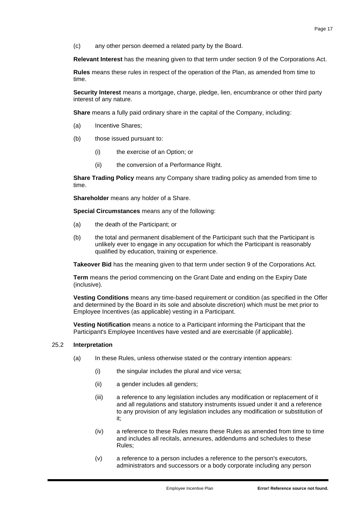(c) any other person deemed a related party by the Board.

**Relevant Interest** has the meaning given to that term under section 9 of the Corporations Act.

**Rules** means these rules in respect of the operation of the Plan, as amended from time to time.

**Security Interest** means a mortgage, charge, pledge, lien, encumbrance or other third party interest of any nature.

**Share** means a fully paid ordinary share in the capital of the Company, including:

- (a) Incentive Shares;
- (b) those issued pursuant to:
	- (i) the exercise of an Option; or
	- (ii) the conversion of a Performance Right.

**Share Trading Policy** means any Company share trading policy as amended from time to time.

**Shareholder** means any holder of a Share.

**Special Circumstances** means any of the following:

- (a) the death of the Participant; or
- (b) the total and permanent disablement of the Participant such that the Participant is unlikely ever to engage in any occupation for which the Participant is reasonably qualified by education, training or experience.

**Takeover Bid** has the meaning given to that term under section 9 of the Corporations Act.

**Term** means the period commencing on the Grant Date and ending on the Expiry Date (inclusive).

**Vesting Conditions** means any time-based requirement or condition (as specified in the Offer and determined by the Board in its sole and absolute discretion) which must be met prior to Employee Incentives (as applicable) vesting in a Participant.

**Vesting Notification** means a notice to a Participant informing the Participant that the Participant's Employee Incentives have vested and are exercisable (if applicable).

#### 25.2 **Interpretation**

- (a) In these Rules, unless otherwise stated or the contrary intention appears:
	- (i) the singular includes the plural and vice versa;
	- (ii) a gender includes all genders;
	- (iii) a reference to any legislation includes any modification or replacement of it and all regulations and statutory instruments issued under it and a reference to any provision of any legislation includes any modification or substitution of it;
	- (iv) a reference to these Rules means these Rules as amended from time to time and includes all recitals, annexures, addendums and schedules to these Rules;
	- (v) a reference to a person includes a reference to the person's executors, administrators and successors or a body corporate including any person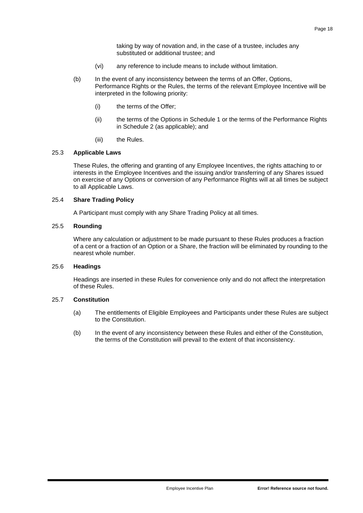taking by way of novation and, in the case of a trustee, includes any substituted or additional trustee; and

- (vi) any reference to include means to include without limitation.
- (b) In the event of any inconsistency between the terms of an Offer, Options, Performance Rights or the Rules, the terms of the relevant Employee Incentive will be interpreted in the following priority:
	- (i) the terms of the Offer;
	- (ii) the terms of the Options in [Schedule 1](#page-20-0) or the terms of the Performance Rights in [Schedule 2](#page-26-0) (as applicable); and
	- (iii) the Rules.

## 25.3 **Applicable Laws**

These Rules, the offering and granting of any Employee Incentives, the rights attaching to or interests in the Employee Incentives and the issuing and/or transferring of any Shares issued on exercise of any Options or conversion of any Performance Rights will at all times be subject to all Applicable Laws.

## 25.4 **Share Trading Policy**

A Participant must comply with any Share Trading Policy at all times.

## 25.5 **Rounding**

Where any calculation or adjustment to be made pursuant to these Rules produces a fraction of a cent or a fraction of an Option or a Share, the fraction will be eliminated by rounding to the nearest whole number.

#### 25.6 **Headings**

Headings are inserted in these Rules for convenience only and do not affect the interpretation of these Rules.

#### 25.7 **Constitution**

- (a) The entitlements of Eligible Employees and Participants under these Rules are subject to the Constitution.
- (b) In the event of any inconsistency between these Rules and either of the Constitution, the terms of the Constitution will prevail to the extent of that inconsistency.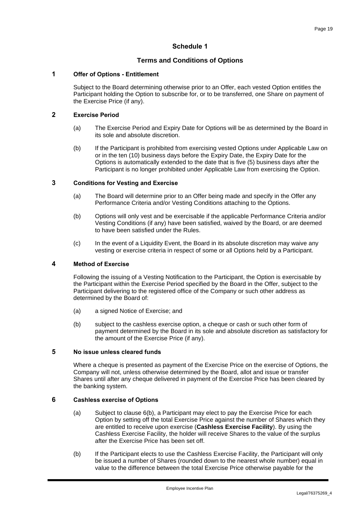# **Schedule 1**

# **Terms and Conditions of Options**

## <span id="page-20-0"></span>**1 Offer of Options - Entitlement**

Subject to the Board determining otherwise prior to an Offer, each vested Option entitles the Participant holding the Option to subscribe for, or to be transferred, one Share on payment of the Exercise Price (if any).

## **2 Exercise Period**

- (a) The Exercise Period and Expiry Date for Options will be as determined by the Board in its sole and absolute discretion.
- (b) If the Participant is prohibited from exercising vested Options under Applicable Law on or in the ten (10) business days before the Expiry Date, the Expiry Date for the Options is automatically extended to the date that is five (5) business days after the Participant is no longer prohibited under Applicable Law from exercising the Option.

## **3 Conditions for Vesting and Exercise**

- (a) The Board will determine prior to an Offer being made and specify in the Offer any Performance Criteria and/or Vesting Conditions attaching to the Options.
- (b) Options will only vest and be exercisable if the applicable Performance Criteria and/or Vesting Conditions (if any) have been satisfied, waived by the Board, or are deemed to have been satisfied under the Rules.
- (c) In the event of a Liquidity Event, the Board in its absolute discretion may waive any vesting or exercise criteria in respect of some or all Options held by a Participant.

## <span id="page-20-2"></span>**4 Method of Exercise**

Following the issuing of a Vesting Notification to the Participant, the Option is exercisable by the Participant within the Exercise Period specified by the Board in the Offer, subject to the Participant delivering to the registered office of the Company or such other address as determined by the Board of:

- (a) a signed Notice of Exercise; and
- (b) subject to the cashless exercise option, a cheque or cash or such other form of payment determined by the Board in its sole and absolute discretion as satisfactory for the amount of the Exercise Price (if any).

# <span id="page-20-3"></span>**5 No issue unless cleared funds**

Where a cheque is presented as payment of the Exercise Price on the exercise of Options, the Company will not, unless otherwise determined by the Board, allot and issue or transfer Shares until after any cheque delivered in payment of the Exercise Price has been cleared by the banking system.

## **6 Cashless exercise of Options**

- (a) Subject to clause [6\(b\),](#page-20-1) a Participant may elect to pay the Exercise Price for each Option by setting off the total Exercise Price against the number of Shares which they are entitled to receive upon exercise (**Cashless Exercise Facility**). By using the Cashless Exercise Facility, the holder will receive Shares to the value of the surplus after the Exercise Price has been set off.
- <span id="page-20-1"></span>(b) If the Participant elects to use the Cashless Exercise Facility, the Participant will only be issued a number of Shares (rounded down to the nearest whole number) equal in value to the difference between the total Exercise Price otherwise payable for the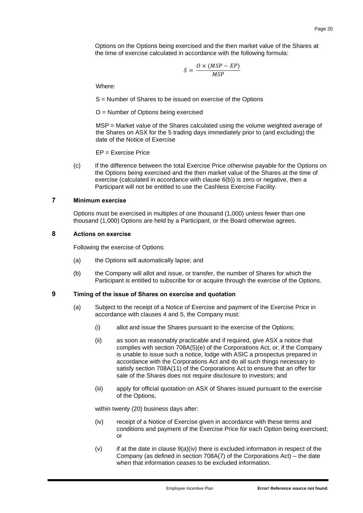Options on the Options being exercised and the then market value of the Shares at the time of exercise calculated in accordance with the following formula:

$$
S = \frac{O \times (MSP - EP)}{MSP}
$$

Where:

S = Number of Shares to be issued on exercise of the Options

O = Number of Options being exercised

MSP = Market value of the Shares calculated using the volume weighted average of the Shares on ASX for the 5 trading days immediately prior to (and excluding) the date of the Notice of Exercise

EP = Exercise Price

(c) If the difference between the total Exercise Price otherwise payable for the Options on the Options being exercised and the then market value of the Shares at the time of exercise (calculated in accordance with clause [6\(b\)\)](#page-20-1) is zero or negative, then a Participant will not be entitled to use the Cashless Exercise Facility.

#### **7 Minimum exercise**

Options must be exercised in multiples of one thousand (1,000) unless fewer than one thousand (1,000) Options are held by a Participant, or the Board otherwise agrees.

#### **8 Actions on exercise**

Following the exercise of Options:

- (a) the Options will automatically lapse; and
- (b) the Company will allot and issue, or transfer, the number of Shares for which the Participant is entitled to subscribe for or acquire through the exercise of the Options.

#### <span id="page-21-1"></span>**9 Timing of the issue of Shares on exercise and quotation**

- (a) Subject to the receipt of a Notice of Exercise and payment of the Exercise Price in accordance with clauses [4](#page-20-2) and [5,](#page-20-3) the Company must:
	- (i) allot and issue the Shares pursuant to the exercise of the Options;
	- (ii) as soon as reasonably practicable and if required, give ASX a notice that complies with section 708A(5)(e) of the Corporations Act, or, if the Company is unable to issue such a notice, lodge with ASIC a prospectus prepared in accordance with the Corporations Act and do all such things necessary to satisfy section 708A(11) of the Corporations Act to ensure that an offer for sale of the Shares does not require disclosure to investors; and
	- (iii) apply for official quotation on ASX of Shares issued pursuant to the exercise of the Options,

within twenty (20) business days after:

- <span id="page-21-0"></span>(iv) receipt of a Notice of Exercise given in accordance with these terms and conditions and payment of the Exercise Price for each Option being exercised; or
- $(v)$  if at the date in clause  $9(a)(iv)$  there is excluded information in respect of the Company (as defined in section 708A(7) of the Corporations Act) – the date when that information ceases to be excluded information.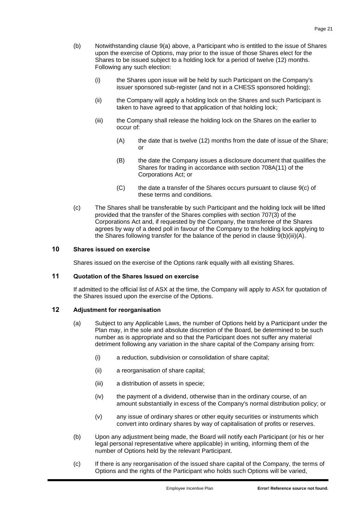- (b) Notwithstanding clause [9\(a\)](#page-21-1) above, a Participant who is entitled to the issue of Shares upon the exercise of Options, may prior to the issue of those Shares elect for the Shares to be issued subject to a holding lock for a period of twelve (12) months. Following any such election:
	- (i) the Shares upon issue will be held by such Participant on the Company's issuer sponsored sub-register (and not in a CHESS sponsored holding);
	- (ii) the Company will apply a holding lock on the Shares and such Participant is taken to have agreed to that application of that holding lock;
	- (iii) the Company shall release the holding lock on the Shares on the earlier to occur of:
		- (A) the date that is twelve (12) months from the date of issue of the Share; or
		- (B) the date the Company issues a disclosure document that qualifies the Shares for trading in accordance with section 708A(11) of the Corporations Act; or
		- (C) the date a transfer of the Shares occurs pursuant to clause [9\(c\)](#page-22-0) of these terms and conditions.
- <span id="page-22-1"></span><span id="page-22-0"></span>(c) The Shares shall be transferable by such Participant and the holding lock will be lifted provided that the transfer of the Shares complies with section 707(3) of the Corporations Act and, if requested by the Company, the transferee of the Shares agrees by way of a deed poll in favour of the Company to the holding lock applying to the Shares following transfer for the balance of the period in clause [9\(b\)\(iii\)\(A\).](#page-22-1)

## **10 Shares issued on exercise**

Shares issued on the exercise of the Options rank equally with all existing Shares.

## **11 Quotation of the Shares Issued on exercise**

If admitted to the official list of ASX at the time, the Company will apply to ASX for quotation of the Shares issued upon the exercise of the Options.

## **12 Adjustment for reorganisation**

- (a) Subject to any Applicable Laws, the number of Options held by a Participant under the Plan may, in the sole and absolute discretion of the Board, be determined to be such number as is appropriate and so that the Participant does not suffer any material detriment following any variation in the share capital of the Company arising from:
	- (i) a reduction, subdivision or consolidation of share capital;
	- (ii) a reorganisation of share capital;
	- (iii) a distribution of assets in specie;
	- (iv) the payment of a dividend, otherwise than in the ordinary course, of an amount substantially in excess of the Company's normal distribution policy; or
	- (v) any issue of ordinary shares or other equity securities or instruments which convert into ordinary shares by way of capitalisation of profits or reserves.
- (b) Upon any adjustment being made, the Board will notify each Participant (or his or her legal personal representative where applicable) in writing, informing them of the number of Options held by the relevant Participant.
- (c) If there is any reorganisation of the issued share capital of the Company, the terms of Options and the rights of the Participant who holds such Options will be varied,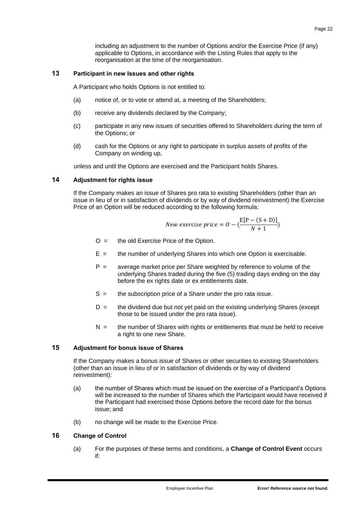including an adjustment to the number of Options and/or the Exercise Price (if any) applicable to Options, in accordance with the Listing Rules that apply to the reorganisation at the time of the reorganisation.

## **13 Participant in new Issues and other rights**

A Participant who holds Options is not entitled to:

- (a) notice of, or to vote or attend at, a meeting of the Shareholders;
- (b) receive any dividends declared by the Company;
- (c) participate in any new issues of securities offered to Shareholders during the term of the Options; or
- (d) cash for the Options or any right to participate in surplus assets of profits of the Company on winding up,

unless and until the Options are exercised and the Participant holds Shares.

## **14 Adjustment for rights issue**

If the Company makes an issue of Shares pro rata to existing Shareholders (other than an issue in lieu of or in satisfaction of dividends or by way of dividend reinvestment) the Exercise Price of an Option will be reduced according to the following formula:

$$
New\ exercise\ price = O - \left(\frac{E[P - (S + D)]}{N + 1}\right)
$$

- $O =$  the old Exercise Price of the Option.
- $E =$  the number of underlying Shares into which one Option is exercisable.
- P = average market price per Share weighted by reference to volume of the underlying Shares traded during the five (5) trading days ending on the day before the ex rights date or ex entitlements date.
- S = the subscription price of a Share under the pro rata issue.
- $D =$  the dividend due but not yet paid on the existing underlying Shares (except those to be issued under the pro rata issue).
- $N =$  the number of Shares with rights or entitlements that must be held to receive a right to one new Share.

## **15 Adjustment for bonus issue of Shares**

If the Company makes a bonus issue of Shares or other securities to existing Shareholders (other than an issue in lieu of or in satisfaction of dividends or by way of dividend reinvestment):

- (a) the number of Shares which must be issued on the exercise of a Participant's Options will be increased to the number of Shares which the Participant would have received if the Participant had exercised those Options before the record date for the bonus issue; and
- (b) no change will be made to the Exercise Price.

## **16 Change of Control**

(a) For the purposes of these terms and conditions, a **Change of Control Event** occurs if: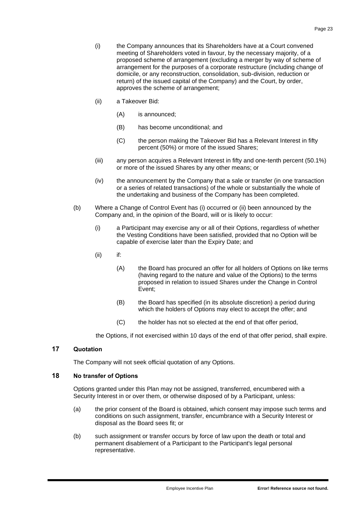- (i) the Company announces that its Shareholders have at a Court convened meeting of Shareholders voted in favour, by the necessary majority, of a proposed scheme of arrangement (excluding a merger by way of scheme of arrangement for the purposes of a corporate restructure (including change of domicile, or any reconstruction, consolidation, sub-division, reduction or return) of the issued capital of the Company) and the Court, by order, approves the scheme of arrangement;
- (ii) a Takeover Bid:
	- (A) is announced;
	- (B) has become unconditional; and
	- (C) the person making the Takeover Bid has a Relevant Interest in fifty percent (50%) or more of the issued Shares;
- (iii) any person acquires a Relevant Interest in fifty and one-tenth percent (50.1%) or more of the issued Shares by any other means; or
- (iv) the announcement by the Company that a sale or transfer (in one transaction or a series of related transactions) of the whole or substantially the whole of the undertaking and business of the Company has been completed.
- (b) Where a Change of Control Event has (i) occurred or (ii) been announced by the Company and, in the opinion of the Board, will or is likely to occur:
	- (i) a Participant may exercise any or all of their Options, regardless of whether the Vesting Conditions have been satisfied, provided that no Option will be capable of exercise later than the Expiry Date; and
	- (ii) if:
		- (A) the Board has procured an offer for all holders of Options on like terms (having regard to the nature and value of the Options) to the terms proposed in relation to issued Shares under the Change in Control Event;
		- (B) the Board has specified (in its absolute discretion) a period during which the holders of Options may elect to accept the offer; and
		- (C) the holder has not so elected at the end of that offer period,

the Options, if not exercised within 10 days of the end of that offer period, shall expire.

## **17 Quotation**

The Company will not seek official quotation of any Options.

## **18 No transfer of Options**

Options granted under this Plan may not be assigned, transferred, encumbered with a Security Interest in or over them, or otherwise disposed of by a Participant, unless:

- (a) the prior consent of the Board is obtained, which consent may impose such terms and conditions on such assignment, transfer, encumbrance with a Security Interest or disposal as the Board sees fit; or
- (b) such assignment or transfer occurs by force of law upon the death or total and permanent disablement of a Participant to the Participant's legal personal representative.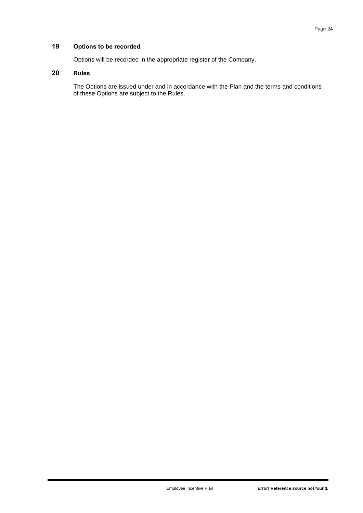## **19 Options to be recorded**

Options will be recorded in the appropriate register of the Company.

# **20 Rules**

The Options are issued under and in accordance with the Plan and the terms and conditions of these Options are subject to the Rules.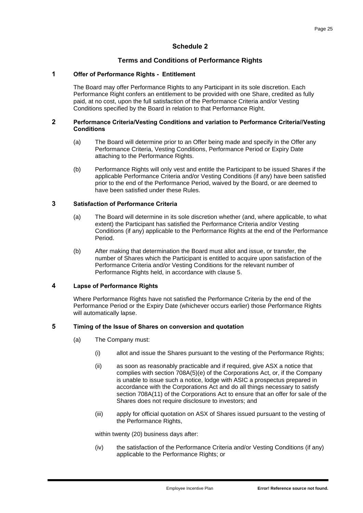# **Schedule 2**

## **Terms and Conditions of Performance Rights**

#### <span id="page-26-0"></span>**1 Offer of Performance Rights - Entitlement**

The Board may offer Performance Rights to any Participant in its sole discretion. Each Performance Right confers an entitlement to be provided with one Share, credited as fully paid, at no cost, upon the full satisfaction of the Performance Criteria and/or Vesting Conditions specified by the Board in relation to that Performance Right.

#### **2 Performance Criteria/Vesting Conditions and variation to Performance Criteria//Vesting Conditions**

- (a) The Board will determine prior to an Offer being made and specify in the Offer any Performance Criteria, Vesting Conditions, Performance Period or Expiry Date attaching to the Performance Rights.
- (b) Performance Rights will only vest and entitle the Participant to be issued Shares if the applicable Performance Criteria and/or Vesting Conditions (if any) have been satisfied prior to the end of the Performance Period, waived by the Board, or are deemed to have been satisfied under these Rules.

## **3 Satisfaction of Performance Criteria**

- (a) The Board will determine in its sole discretion whether (and, where applicable, to what extent) the Participant has satisfied the Performance Criteria and/or Vesting Conditions (if any) applicable to the Performance Rights at the end of the Performance Period.
- (b) After making that determination the Board must allot and issue, or transfer, the number of Shares which the Participant is entitled to acquire upon satisfaction of the Performance Criteria and/or Vesting Conditions for the relevant number of Performance Rights held, in accordance with clause [5.](#page-26-1)

#### **4 Lapse of Performance Rights**

Where Performance Rights have not satisfied the Performance Criteria by the end of the Performance Period or the Expiry Date (whichever occurs earlier) those Performance Rights will automatically lapse.

#### <span id="page-26-3"></span><span id="page-26-1"></span>**5 Timing of the Issue of Shares on conversion and quotation**

- (a) The Company must:
	- (i) allot and issue the Shares pursuant to the vesting of the Performance Rights;
	- (ii) as soon as reasonably practicable and if required, give ASX a notice that complies with section 708A(5)(e) of the Corporations Act, or, if the Company is unable to issue such a notice, lodge with ASIC a prospectus prepared in accordance with the Corporations Act and do all things necessary to satisfy section 708A(11) of the Corporations Act to ensure that an offer for sale of the Shares does not require disclosure to investors; and
	- (iii) apply for official quotation on ASX of Shares issued pursuant to the vesting of the Performance Rights,

within twenty (20) business days after:

<span id="page-26-2"></span>(iv) the satisfaction of the Performance Criteria and/or Vesting Conditions (if any) applicable to the Performance Rights; or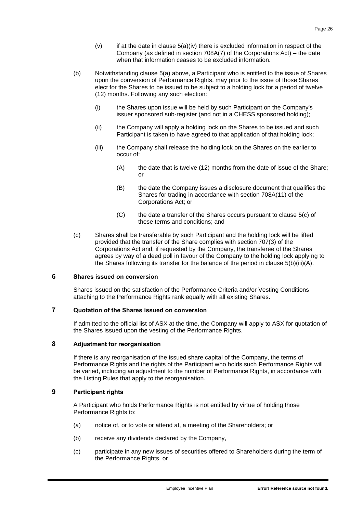- $(v)$  if at the date in clause  $5(a)(iv)$  there is excluded information in respect of the Company (as defined in section 708A(7) of the Corporations Act) – the date when that information ceases to be excluded information.
- (b) Notwithstanding clause [5\(a\)](#page-26-3) above, a Participant who is entitled to the issue of Shares upon the conversion of Performance Rights, may prior to the issue of those Shares elect for the Shares to be issued to be subject to a holding lock for a period of twelve (12) months. Following any such election:
	- (i) the Shares upon issue will be held by such Participant on the Company's issuer sponsored sub-register (and not in a CHESS sponsored holding);
	- (ii) the Company will apply a holding lock on the Shares to be issued and such Participant is taken to have agreed to that application of that holding lock;
	- (iii) the Company shall release the holding lock on the Shares on the earlier to occur of:
		- (A) the date that is twelve (12) months from the date of issue of the Share; or
		- (B) the date the Company issues a disclosure document that qualifies the Shares for trading in accordance with section 708A(11) of the Corporations Act; or
		- (C) the date a transfer of the Shares occurs pursuant to clause [5\(c\)](#page-27-0) of these terms and conditions; and
- <span id="page-27-1"></span><span id="page-27-0"></span>(c) Shares shall be transferable by such Participant and the holding lock will be lifted provided that the transfer of the Share complies with section 707(3) of the Corporations Act and, if requested by the Company, the transferee of the Shares agrees by way of a deed poll in favour of the Company to the holding lock applying to the Shares following its transfer for the balance of the period in clause [5\(b\)\(iii\)\(A\).](#page-27-1)

## **6 Shares issued on conversion**

Shares issued on the satisfaction of the Performance Criteria and/or Vesting Conditions attaching to the Performance Rights rank equally with all existing Shares.

## **7 Quotation of the Shares issued on conversion**

If admitted to the official list of ASX at the time, the Company will apply to ASX for quotation of the Shares issued upon the vesting of the Performance Rights.

## **8 Adjustment for reorganisation**

If there is any reorganisation of the issued share capital of the Company, the terms of Performance Rights and the rights of the Participant who holds such Performance Rights will be varied, including an adjustment to the number of Performance Rights, in accordance with the Listing Rules that apply to the reorganisation.

## **9 Participant rights**

A Participant who holds Performance Rights is not entitled by virtue of holding those Performance Rights to:

- (a) notice of, or to vote or attend at, a meeting of the Shareholders; or
- (b) receive any dividends declared by the Company,
- (c) participate in any new issues of securities offered to Shareholders during the term of the Performance Rights, or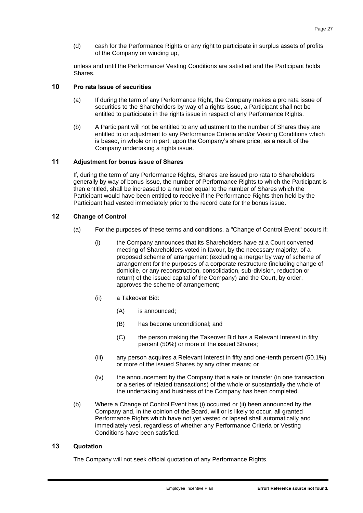(d) cash for the Performance Rights or any right to participate in surplus assets of profits of the Company on winding up,

unless and until the Performance/ Vesting Conditions are satisfied and the Participant holds Shares.

## **10 Pro rata Issue of securities**

- (a) If during the term of any Performance Right, the Company makes a pro rata issue of securities to the Shareholders by way of a rights issue, a Participant shall not be entitled to participate in the rights issue in respect of any Performance Rights.
- (b) A Participant will not be entitled to any adjustment to the number of Shares they are entitled to or adjustment to any Performance Criteria and/or Vesting Conditions which is based, in whole or in part, upon the Company's share price, as a result of the Company undertaking a rights issue.

## **11 Adjustment for bonus issue of Shares**

If, during the term of any Performance Rights, Shares are issued pro rata to Shareholders generally by way of bonus issue, the number of Performance Rights to which the Participant is then entitled, shall be increased to a number equal to the number of Shares which the Participant would have been entitled to receive if the Performance Rights then held by the Participant had vested immediately prior to the record date for the bonus issue.

# **12 Change of Control**

- (a) For the purposes of these terms and conditions, a "Change of Control Event" occurs if:
	- (i) the Company announces that its Shareholders have at a Court convened meeting of Shareholders voted in favour, by the necessary majority, of a proposed scheme of arrangement (excluding a merger by way of scheme of arrangement for the purposes of a corporate restructure (including change of domicile, or any reconstruction, consolidation, sub-division, reduction or return) of the issued capital of the Company) and the Court, by order, approves the scheme of arrangement;
	- (ii) a Takeover Bid:
		- (A) is announced;
		- (B) has become unconditional; and
		- (C) the person making the Takeover Bid has a Relevant Interest in fifty percent (50%) or more of the issued Shares;
	- (iii) any person acquires a Relevant Interest in fifty and one-tenth percent (50.1%) or more of the issued Shares by any other means; or
	- (iv) the announcement by the Company that a sale or transfer (in one transaction or a series of related transactions) of the whole or substantially the whole of the undertaking and business of the Company has been completed.
- (b) Where a Change of Control Event has (i) occurred or (ii) been announced by the Company and, in the opinion of the Board, will or is likely to occur, all granted Performance Rights which have not yet vested or lapsed shall automatically and immediately vest, regardless of whether any Performance Criteria or Vesting Conditions have been satisfied.

## **13 Quotation**

The Company will not seek official quotation of any Performance Rights.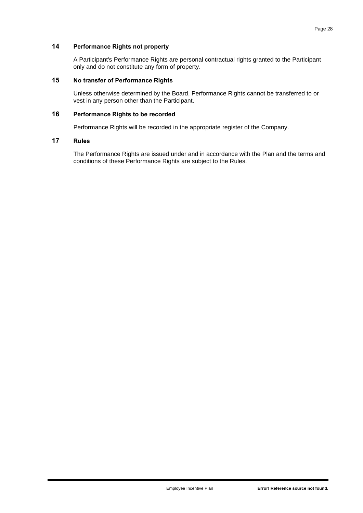## **14 Performance Rights not property**

A Participant's Performance Rights are personal contractual rights granted to the Participant only and do not constitute any form of property.

## **15 No transfer of Performance Rights**

Unless otherwise determined by the Board, Performance Rights cannot be transferred to or vest in any person other than the Participant.

## **16 Performance Rights to be recorded**

Performance Rights will be recorded in the appropriate register of the Company.

## **17 Rules**

The Performance Rights are issued under and in accordance with the Plan and the terms and conditions of these Performance Rights are subject to the Rules.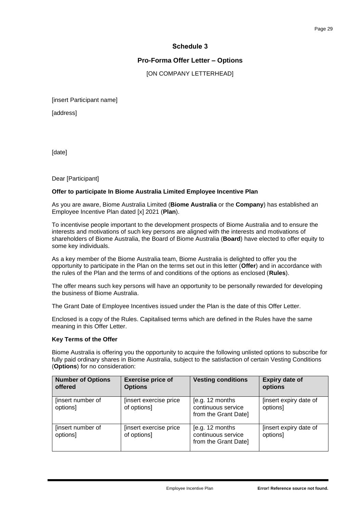# **Schedule 3**

# **Pro-Forma Offer Letter – Options**

[ON COMPANY LETTERHEAD]

<span id="page-30-0"></span>[insert Participant name]

[address]

[date]

Dear [Participant]

#### **Offer to participate In Biome Australia Limited Employee Incentive Plan**

As you are aware, Biome Australia Limited (**Biome Australia** or the **Company**) has established an Employee Incentive Plan dated [x] 2021 (**Plan**).

To incentivise people important to the development prospects of Biome Australia and to ensure the interests and motivations of such key persons are aligned with the interests and motivations of shareholders of Biome Australia, the Board of Biome Australia (**Board**) have elected to offer equity to some key individuals.

As a key member of the Biome Australia team, Biome Australia is delighted to offer you the opportunity to participate in the Plan on the terms set out in this letter (**Offer**) and in accordance with the rules of the Plan and the terms of and conditions of the options as enclosed (**Rules**).

The offer means such key persons will have an opportunity to be personally rewarded for developing the business of Biome Australia.

The Grant Date of Employee Incentives issued under the Plan is the date of this Offer Letter.

Enclosed is a copy of the Rules. Capitalised terms which are defined in the Rules have the same meaning in this Offer Letter.

#### **Key Terms of the Offer**

Biome Australia is offering you the opportunity to acquire the following unlisted options to subscribe for fully paid ordinary shares in Biome Australia, subject to the satisfaction of certain Vesting Conditions (**Options**) for no consideration:

| <b>Number of Options</b><br>offered | <b>Exercise price of</b><br><b>Options</b> | <b>Vesting conditions</b>                                     | <b>Expiry date of</b><br>options   |
|-------------------------------------|--------------------------------------------|---------------------------------------------------------------|------------------------------------|
| [insert number of<br>options]       | [insert exercise price]<br>of options]     | [e.g. 12 months<br>continuous service<br>from the Grant Date] | [insert expiry date of<br>options] |
| [insert number of<br>options]       | [insert exercise price<br>of options]      | [e.g. 12 months<br>continuous service<br>from the Grant Date] | [insert expiry date of<br>options] |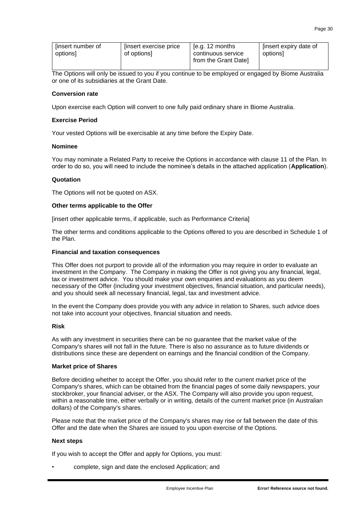| [insert number of | [insert exercise price | [e.g. $12$ months    | [insert expiry date of |
|-------------------|------------------------|----------------------|------------------------|
| options           | of options]            | continuous service   | optionsl               |
|                   |                        | from the Grant Date] |                        |

The Options will only be issued to you if you continue to be employed or engaged by Biome Australia or one of its subsidiaries at the Grant Date.

## **Conversion rate**

Upon exercise each Option will convert to one fully paid ordinary share in Biome Australia.

#### **Exercise Period**

Your vested Options will be exercisable at any time before the Expiry Date.

#### **Nominee**

You may nominate a Related Party to receive the Options in accordance with clause [11](#page-7-1) of the Plan. In order to do so, you will need to include the nominee's details in the attached application (**Application**).

#### **Quotation**

The Options will not be quoted on ASX.

#### **Other terms applicable to the Offer**

[insert other applicable terms, if applicable, such as Performance Criteria]

The other terms and conditions applicable to the Options offered to you are described in Schedule 1 of the Plan.

#### **Financial and taxation consequences**

This Offer does not purport to provide all of the information you may require in order to evaluate an investment in the Company. The Company in making the Offer is not giving you any financial, legal, tax or investment advice. You should make your own enquiries and evaluations as you deem necessary of the Offer (including your investment objectives, financial situation, and particular needs), and you should seek all necessary financial, legal, tax and investment advice.

In the event the Company does provide you with any advice in relation to Shares, such advice does not take into account your objectives, financial situation and needs.

#### **Risk**

As with any investment in securities there can be no guarantee that the market value of the Company's shares will not fall in the future. There is also no assurance as to future dividends or distributions since these are dependent on earnings and the financial condition of the Company.

#### **Market price of Shares**

Before deciding whether to accept the Offer, you should refer to the current market price of the Company's shares, which can be obtained from the financial pages of some daily newspapers, your stockbroker, your financial adviser, or the ASX. The Company will also provide you upon request, within a reasonable time, either verbally or in writing, details of the current market price (in Australian dollars) of the Company's shares.

Please note that the market price of the Company's shares may rise or fall between the date of this Offer and the date when the Shares are issued to you upon exercise of the Options.

#### **Next steps**

If you wish to accept the Offer and apply for Options, you must:

• complete, sign and date the enclosed Application; and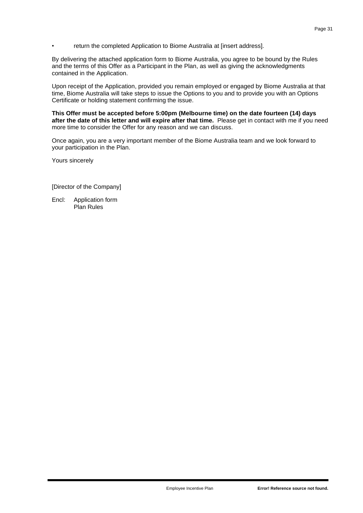return the completed Application to Biome Australia at linsert addressl.

By delivering the attached application form to Biome Australia, you agree to be bound by the Rules and the terms of this Offer as a Participant in the Plan, as well as giving the acknowledgments contained in the Application.

Upon receipt of the Application, provided you remain employed or engaged by Biome Australia at that time, Biome Australia will take steps to issue the Options to you and to provide you with an Options Certificate or holding statement confirming the issue.

**This Offer must be accepted before 5:00pm (Melbourne time) on the date fourteen (14) days after the date of this letter and will expire after that time.** Please get in contact with me if you need more time to consider the Offer for any reason and we can discuss.

Once again, you are a very important member of the Biome Australia team and we look forward to your participation in the Plan.

Yours sincerely

[Director of the Company]

Encl: Application form Plan Rules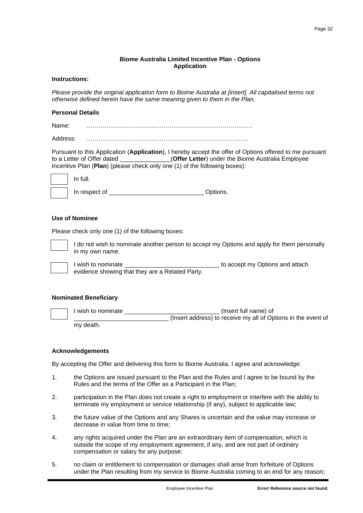#### **Biome Australia Limited Incentive Plan - Options Application**

## **Instructions:**

*Please provide the original application form to Biome Australia at [insert]. All capitalised terms not otherwise defined herein have the same meaning given to them in the Plan.*

#### **Personal Details**

Name: ……………………………………………………………………….

Address: ……………………………………………………………………..

Pursuant to this Application (**Application**), I hereby accept the offer of Options offered to me pursuant to a Letter of Offer dated \_\_\_\_\_\_\_\_\_\_\_\_\_\_\_(**Offer Letter**) under the Biome Australia Employee Incentive Plan (**Plan**) (please check only one (1) of the following boxes):

| In full. |
|----------|
| In resp  |

In respect of **Exercise 2** Options.

#### **Use of Nominee**

Please check only one (1) of the following boxes:



I do not wish to nominate another person to accept my Options and apply for them personally in my own name.



I wish to nominate \_\_\_\_\_\_\_\_\_\_\_\_\_\_\_\_\_\_\_\_\_\_\_\_\_\_\_\_ to accept my Options and attach evidence showing that they are a Related Party.

#### **Nominated Beneficiary**

| l wish to nominate | (Insert full name) of                                         |
|--------------------|---------------------------------------------------------------|
|                    | (Insert address) to receive my all of Options in the event of |
| my death.          |                                                               |

#### **Acknowledgements**

By accepting the Offer and delivering this form to Biome Australia, I agree and acknowledge:

- 1. the Options are issued pursuant to the Plan and the Rules and I agree to be bound by the Rules and the terms of the Offer as a Participant in the Plan;
- 2. participation in the Plan does not create a right to employment or interfere with the ability to terminate my employment or service relationship (if any), subject to applicable law;
- 3. the future value of the Options and any Shares is uncertain and the value may increase or decrease in value from time to time;
- 4. any rights acquired under the Plan are an extraordinary item of compensation, which is outside the scope of my employment agreement, if any, and are not part of ordinary compensation or salary for any purpose;
- 5. no claim or entitlement to compensation or damages shall arise from forfeiture of Options under the Plan resulting from my service to Biome Australia coming to an end for any reason;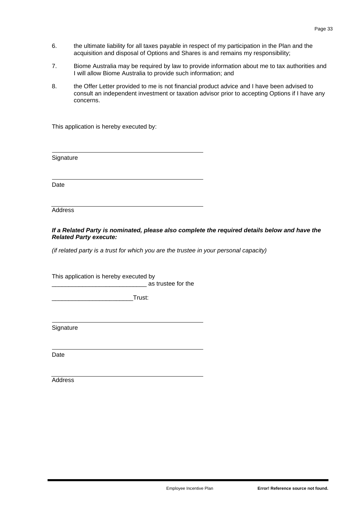- 6. the ultimate liability for all taxes payable in respect of my participation in the Plan and the acquisition and disposal of Options and Shares is and remains my responsibility;
- 7. Biome Australia may be required by law to provide information about me to tax authorities and I will allow Biome Australia to provide such information; and
- 8. the Offer Letter provided to me is not financial product advice and I have been advised to consult an independent investment or taxation advisor prior to accepting Options if I have any concerns.

This application is hereby executed by:

**Signature** 

Date

Address

*If a Related Party is nominated, please also complete the required details below and have the Related Party execute:*

*(if related party is a trust for which you are the trustee in your personal capacity)*

This application is hereby executed by

\_\_\_\_\_\_\_\_\_\_\_\_\_\_\_\_\_\_\_\_\_\_\_\_\_\_\_\_ as trustee for the

\_\_\_\_\_\_\_\_\_\_\_\_\_\_\_\_\_\_\_\_\_\_\_\_Trust:

**Signature** 

Date

**Address**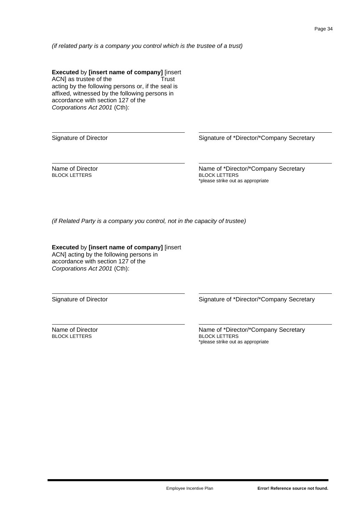*(if related party is a company you control which is the trustee of a trust)*

**Executed** by **[insert name of company]** [insert ACN] as trustee of the Trust ACN] as trustee of the acting by the following persons or, if the seal is affixed, witnessed by the following persons in accordance with section 127 of the *Corporations Act 2001* (Cth):

Signature of Director **Signature of Secretary** Secretary Secretary Secretary

Name of Director BLOCK LETTERS

Name of \*Director/\*Company Secretary BLOCK LETTERS \*please strike out as appropriate

*(if Related Party is a company you control, not in the capacity of trustee)*

**Executed** by **[insert name of company]** [insert ACN] acting by the following persons in accordance with section 127 of the *Corporations Act 2001* (Cth):

Signature of Director Signature of \*Director/\*Company Secretary

Name of Director BLOCK LETTERS

Name of \*Director/\*Company Secretary BLOCK LETTERS \*please strike out as appropriate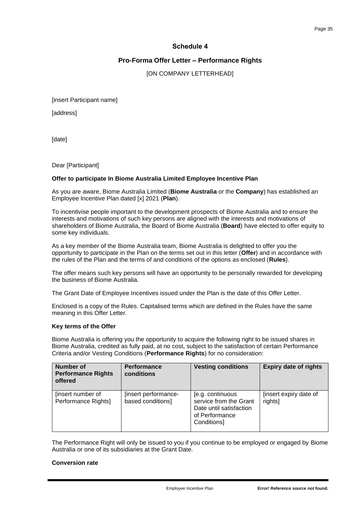## **Schedule 4**

## **Pro-Forma Offer Letter – Performance Rights**

[ON COMPANY LETTERHEAD]

<span id="page-36-0"></span>[insert Participant name]

[address]

[date]

Dear [Participant]

#### **Offer to participate In Biome Australia Limited Employee Incentive Plan**

As you are aware, Biome Australia Limited (**Biome Australia** or the **Company**) has established an Employee Incentive Plan dated [x] 2021 (**Plan**).

To incentivise people important to the development prospects of Biome Australia and to ensure the interests and motivations of such key persons are aligned with the interests and motivations of shareholders of Biome Australia, the Board of Biome Australia (**Board**) have elected to offer equity to some key individuals.

As a key member of the Biome Australia team, Biome Australia is delighted to offer you the opportunity to participate in the Plan on the terms set out in this letter (**Offer**) and in accordance with the rules of the Plan and the terms of and conditions of the options as enclosed (**Rules**).

The offer means such key persons will have an opportunity to be personally rewarded for developing the business of Biome Australia.

The Grant Date of Employee Incentives issued under the Plan is the date of this Offer Letter.

Enclosed is a copy of the Rules. Capitalised terms which are defined in the Rules have the same meaning in this Offer Letter.

#### **Key terms of the Offer**

Biome Australia is offering you the opportunity to acquire the following right to be issued shares in Biome Australia, credited as fully paid, at no cost, subject to the satisfaction of certain Performance Criteria and/or Vesting Conditions (**Performance Rights**) for no consideration:

| <b>Number of</b><br><b>Performance Rights</b><br>offered | <b>Performance</b><br>conditions          | <b>Vesting conditions</b>                                                                              | <b>Expiry date of rights</b>      |
|----------------------------------------------------------|-------------------------------------------|--------------------------------------------------------------------------------------------------------|-----------------------------------|
| [insert number of<br>Performance Rights]                 | [insert performance-<br>based conditions] | [e.g. continuous<br>service from the Grant<br>Date until satisfaction<br>of Performance<br>Conditions] | [insert expiry date of<br>rights] |

The Performance Right will only be issued to you if you continue to be employed or engaged by Biome Australia or one of its subsidiaries at the Grant Date.

#### **Conversion rate**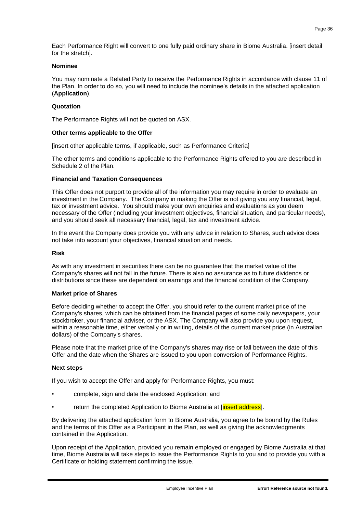Each Performance Right will convert to one fully paid ordinary share in Biome Australia. [insert detail for the stretch].

#### **Nominee**

You may nominate a Related Party to receive the Performance Rights in accordance with clause [11](#page-7-1) of the Plan. In order to do so, you will need to include the nominee's details in the attached application (**Application**).

#### **Quotation**

The Performance Rights will not be quoted on ASX.

#### **Other terms applicable to the Offer**

[insert other applicable terms, if applicable, such as Performance Criteria]

The other terms and conditions applicable to the Performance Rights offered to you are described in Schedule 2 of the Plan.

#### **Financial and Taxation Consequences**

This Offer does not purport to provide all of the information you may require in order to evaluate an investment in the Company. The Company in making the Offer is not giving you any financial, legal, tax or investment advice. You should make your own enquiries and evaluations as you deem necessary of the Offer (including your investment objectives, financial situation, and particular needs), and you should seek all necessary financial, legal, tax and investment advice.

In the event the Company does provide you with any advice in relation to Shares, such advice does not take into account your objectives, financial situation and needs.

#### **Risk**

As with any investment in securities there can be no guarantee that the market value of the Company's shares will not fall in the future. There is also no assurance as to future dividends or distributions since these are dependent on earnings and the financial condition of the Company.

#### **Market price of Shares**

Before deciding whether to accept the Offer, you should refer to the current market price of the Company's shares, which can be obtained from the financial pages of some daily newspapers, your stockbroker, your financial adviser, or the ASX. The Company will also provide you upon request, within a reasonable time, either verbally or in writing, details of the current market price (in Australian dollars) of the Company's shares.

Please note that the market price of the Company's shares may rise or fall between the date of this Offer and the date when the Shares are issued to you upon conversion of Performance Rights.

#### **Next steps**

If you wish to accept the Offer and apply for Performance Rights, you must:

- complete, sign and date the enclosed Application; and
- return the completed Application to Biome Australia at [*insert address*].

By delivering the attached application form to Biome Australia, you agree to be bound by the Rules and the terms of this Offer as a Participant in the Plan, as well as giving the acknowledgments contained in the Application.

Upon receipt of the Application, provided you remain employed or engaged by Biome Australia at that time, Biome Australia will take steps to issue the Performance Rights to you and to provide you with a Certificate or holding statement confirming the issue.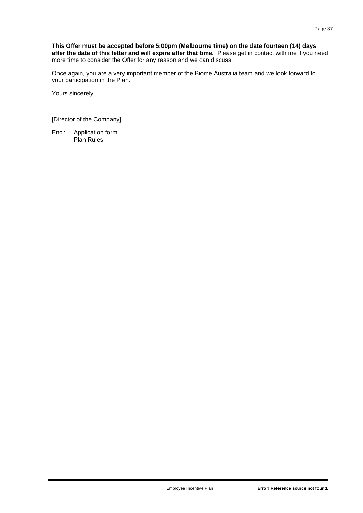Once again, you are a very important member of the Biome Australia team and we look forward to your participation in the Plan.

Yours sincerely

[Director of the Company]

Encl: Application form Plan Rules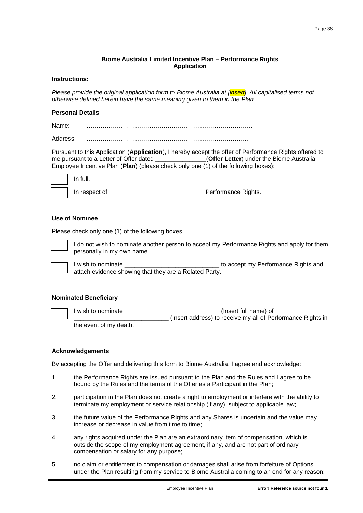#### **Biome Australia Limited Incentive Plan – Performance Rights Application**

## **Instructions:**

*Please provide the original application form to Biome Australia at [insert]. All capitalised terms not otherwise defined herein have the same meaning given to them in the Plan.*

#### **Personal Details**

Name: <u>…………………………………………………………………</u>

Address: ……………………………………………………………………..

Pursuant to this Application (**Application**), I hereby accept the offer of Performance Rights offered to me pursuant to a Letter of Offer dated **Collection Contrary (Offer Letter**) under the Biome Australia Employee Incentive Plan (**Plan**) (please check only one (1) of the following boxes):

| In full.      |                     |
|---------------|---------------------|
| In respect of | Performance Rights. |

#### **Use of Nominee**

Please check only one (1) of the following boxes:



I do not wish to nominate another person to accept my Performance Rights and apply for them personally in my own name.

I wish to nominate \_\_\_\_\_\_\_\_\_\_\_\_\_\_\_\_\_\_\_\_\_\_\_\_\_\_\_\_ to accept my Performance Rights and attach evidence showing that they are a Related Party.

#### **Nominated Beneficiary**

| l wish to nominate     | (Insert full name) of                                       |
|------------------------|-------------------------------------------------------------|
|                        | (Insert address) to receive my all of Performance Rights in |
| the event of my death. |                                                             |

#### **Acknowledgements**

By accepting the Offer and delivering this form to Biome Australia, I agree and acknowledge:

- 1. the Performance Rights are issued pursuant to the Plan and the Rules and I agree to be bound by the Rules and the terms of the Offer as a Participant in the Plan;
- 2. participation in the Plan does not create a right to employment or interfere with the ability to terminate my employment or service relationship (if any), subject to applicable law;
- 3. the future value of the Performance Rights and any Shares is uncertain and the value may increase or decrease in value from time to time;
- 4. any rights acquired under the Plan are an extraordinary item of compensation, which is outside the scope of my employment agreement, if any, and are not part of ordinary compensation or salary for any purpose;
- 5. no claim or entitlement to compensation or damages shall arise from forfeiture of Options under the Plan resulting from my service to Biome Australia coming to an end for any reason;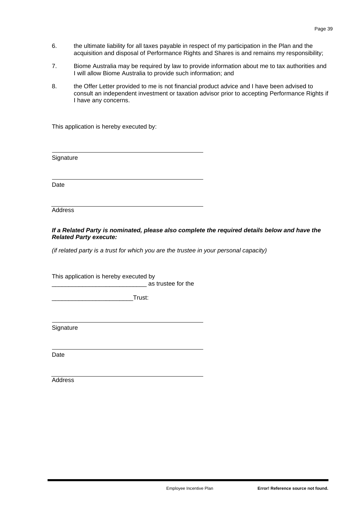- 6. the ultimate liability for all taxes payable in respect of my participation in the Plan and the acquisition and disposal of Performance Rights and Shares is and remains my responsibility;
- 7. Biome Australia may be required by law to provide information about me to tax authorities and I will allow Biome Australia to provide such information; and
- 8. the Offer Letter provided to me is not financial product advice and I have been advised to consult an independent investment or taxation advisor prior to accepting Performance Rights if I have any concerns.

This application is hereby executed by:

**Signature** 

Date

Address

*If a Related Party is nominated, please also complete the required details below and have the Related Party execute:*

*(if related party is a trust for which you are the trustee in your personal capacity)*

This application is hereby executed by

\_\_\_\_\_\_\_\_\_\_\_\_\_\_\_\_\_\_\_\_\_\_\_\_\_\_\_\_ as trustee for the

\_\_\_\_\_\_\_\_\_\_\_\_\_\_\_\_\_\_\_\_\_\_\_\_Trust:

**Signature** 

Date

**Address**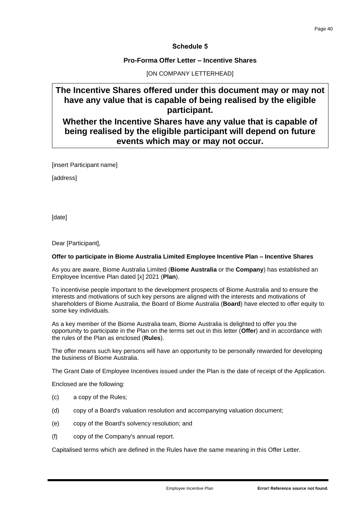## **Schedule 5**

## **Pro-Forma Offer Letter – Incentive Shares**

## [ON COMPANY LETTERHEAD]

# <span id="page-41-0"></span>**The Incentive Shares offered under this document may or may not have any value that is capable of being realised by the eligible participant.**

**Whether the Incentive Shares have any value that is capable of being realised by the eligible participant will depend on future events which may or may not occur.**

[insert Participant name]

[address]

[date]

Dear [Participant],

#### **Offer to participate in Biome Australia Limited Employee Incentive Plan – Incentive Shares**

As you are aware, Biome Australia Limited (**Biome Australia** or the **Company**) has established an Employee Incentive Plan dated [x] 2021 (**Plan**).

To incentivise people important to the development prospects of Biome Australia and to ensure the interests and motivations of such key persons are aligned with the interests and motivations of shareholders of Biome Australia, the Board of Biome Australia (**Board**) have elected to offer equity to some key individuals.

As a key member of the Biome Australia team, Biome Australia is delighted to offer you the opportunity to participate in the Plan on the terms set out in this letter (**Offer**) and in accordance with the rules of the Plan as enclosed (**Rules**).

The offer means such key persons will have an opportunity to be personally rewarded for developing the business of Biome Australia.

The Grant Date of Employee Incentives issued under the Plan is the date of receipt of the Application.

Enclosed are the following:

- (c) a copy of the Rules;
- (d) copy of a Board's valuation resolution and accompanying valuation document;
- (e) copy of the Board's solvency resolution; and
- (f) copy of the Company's annual report.

Capitalised terms which are defined in the Rules have the same meaning in this Offer Letter.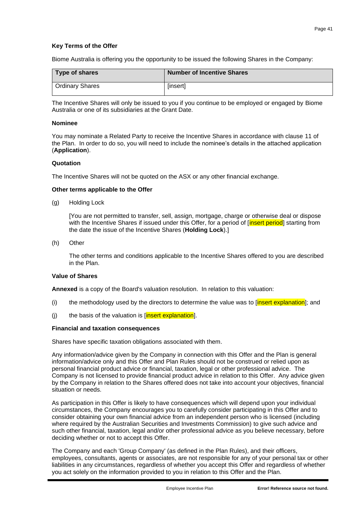## **Key Terms of the Offer**

Biome Australia is offering you the opportunity to be issued the following Shares in the Company:

| Type of shares         | <b>Number of Incentive Shares</b> |
|------------------------|-----------------------------------|
| <b>Ordinary Shares</b> | [insert]                          |

The Incentive Shares will only be issued to you if you continue to be employed or engaged by Biome Australia or one of its subsidiaries at the Grant Date.

#### **Nominee**

You may nominate a Related Party to receive the Incentive Shares in accordance with clause [11](#page-7-1) of the Plan. In order to do so, you will need to include the nominee's details in the attached application (**Application**).

#### **Quotation**

The Incentive Shares will not be quoted on the ASX or any other financial exchange.

#### **Other terms applicable to the Offer**

(g) Holding Lock

[You are not permitted to transfer, sell, assign, mortgage, charge or otherwise deal or dispose with the Incentive Shares if issued under this Offer, for a period of [insert period] starting from the date the issue of the Incentive Shares (**Holding Lock**).]

(h) Other

The other terms and conditions applicable to the Incentive Shares offered to you are described in the Plan.

## **Value of Shares**

**Annexed** is a copy of the Board's valuation resolution. In relation to this valuation:

- (i) the methodology used by the directors to determine the value was to [insert explanation]; and
- (j) the basis of the valuation is  $[insert$  explanation].

#### **Financial and taxation consequences**

Shares have specific taxation obligations associated with them.

Any information/advice given by the Company in connection with this Offer and the Plan is general information/advice only and this Offer and Plan Rules should not be construed or relied upon as personal financial product advice or financial, taxation, legal or other professional advice. The Company is not licensed to provide financial product advice in relation to this Offer. Any advice given by the Company in relation to the Shares offered does not take into account your objectives, financial situation or needs.

As participation in this Offer is likely to have consequences which will depend upon your individual circumstances, the Company encourages you to carefully consider participating in this Offer and to consider obtaining your own financial advice from an independent person who is licensed (including where required by the Australian Securities and Investments Commission) to give such advice and such other financial, taxation, legal and/or other professional advice as you believe necessary, before deciding whether or not to accept this Offer.

The Company and each 'Group Company' (as defined in the Plan Rules), and their officers, employees, consultants, agents or associates, are not responsible for any of your personal tax or other liabilities in any circumstances, regardless of whether you accept this Offer and regardless of whether you act solely on the information provided to you in relation to this Offer and the Plan.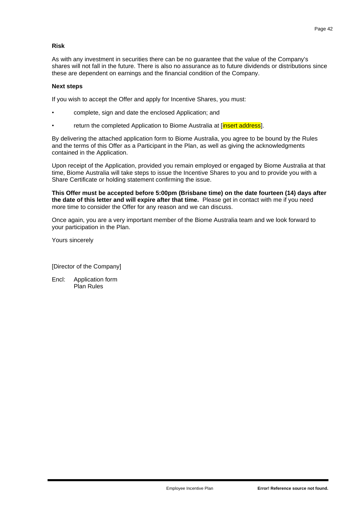## **Risk**

As with any investment in securities there can be no guarantee that the value of the Company's shares will not fall in the future. There is also no assurance as to future dividends or distributions since these are dependent on earnings and the financial condition of the Company.

#### **Next steps**

If you wish to accept the Offer and apply for Incentive Shares, you must:

- complete, sign and date the enclosed Application; and
- return the completed Application to Biome Australia at [insert address].

By delivering the attached application form to Biome Australia, you agree to be bound by the Rules and the terms of this Offer as a Participant in the Plan, as well as giving the acknowledgments contained in the Application.

Upon receipt of the Application, provided you remain employed or engaged by Biome Australia at that time, Biome Australia will take steps to issue the Incentive Shares to you and to provide you with a Share Certificate or holding statement confirming the issue.

**This Offer must be accepted before 5:00pm (Brisbane time) on the date fourteen (14) days after the date of this letter and will expire after that time.** Please get in contact with me if you need more time to consider the Offer for any reason and we can discuss.

Once again, you are a very important member of the Biome Australia team and we look forward to your participation in the Plan.

Yours sincerely

[Director of the Company]

Encl: Application form Plan Rules